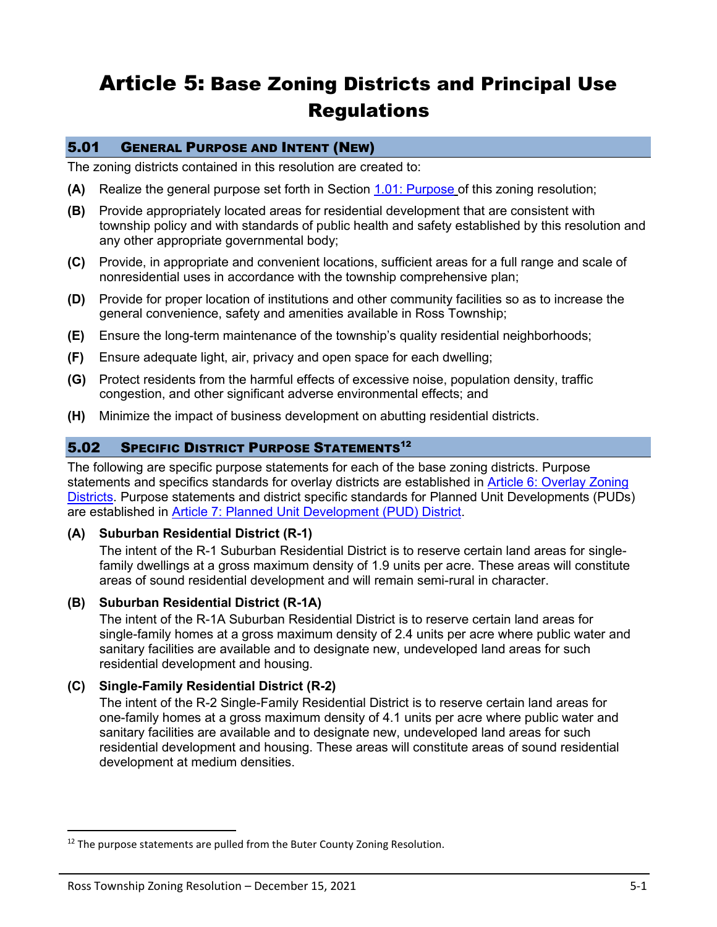# Article 5: Base Zoning Districts and Principal Use **Regulations**

# 5.01 GENERAL PURPOSE AND INTENT (NEW)

The zoning districts contained in this resolution are created to:

- **(A)** Realize the general purpose set forth in Section 1.01: Purpose of this zoning resolution;
- **(B)** Provide appropriately located areas for residential development that are consistent with township policy and with standards of public health and safety established by this resolution and any other appropriate governmental body;
- **(C)** Provide, in appropriate and convenient locations, sufficient areas for a full range and scale of nonresidential uses in accordance with the township comprehensive plan;
- **(D)** Provide for proper location of institutions and other community facilities so as to increase the general convenience, safety and amenities available in Ross Township;
- **(E)** Ensure the long-term maintenance of the township's quality residential neighborhoods;
- **(F)** Ensure adequate light, air, privacy and open space for each dwelling;
- **(G)** Protect residents from the harmful effects of excessive noise, population density, traffic congestion, and other significant adverse environmental effects; and
- **(H)** Minimize the impact of business development on abutting residential districts.

### 5.02 SPECIFIC DISTRICT PURPOSE STATEMENTS<sup>12</sup>

The following are specific purpose statements for each of the base zoning districts. Purpose statements and specifics standards for overlay districts are established in Article 6: Overlay Zoning Districts. Purpose statements and district specific standards for Planned Unit Developments (PUDs) are established in Article 7: Planned Unit Development (PUD) District.

#### **(A) Suburban Residential District (R-1)**

The intent of the R-1 Suburban Residential District is to reserve certain land areas for singlefamily dwellings at a gross maximum density of 1.9 units per acre. These areas will constitute areas of sound residential development and will remain semi-rural in character.

### **(B) Suburban Residential District (R-1A)**

The intent of the R-1A Suburban Residential District is to reserve certain land areas for single-family homes at a gross maximum density of 2.4 units per acre where public water and sanitary facilities are available and to designate new, undeveloped land areas for such residential development and housing.

### **(C) Single-Family Residential District (R-2)**

The intent of the R-2 Single-Family Residential District is to reserve certain land areas for one-family homes at a gross maximum density of 4.1 units per acre where public water and sanitary facilities are available and to designate new, undeveloped land areas for such residential development and housing. These areas will constitute areas of sound residential development at medium densities.

<sup>&</sup>lt;sup>12</sup> The purpose statements are pulled from the Buter County Zoning Resolution.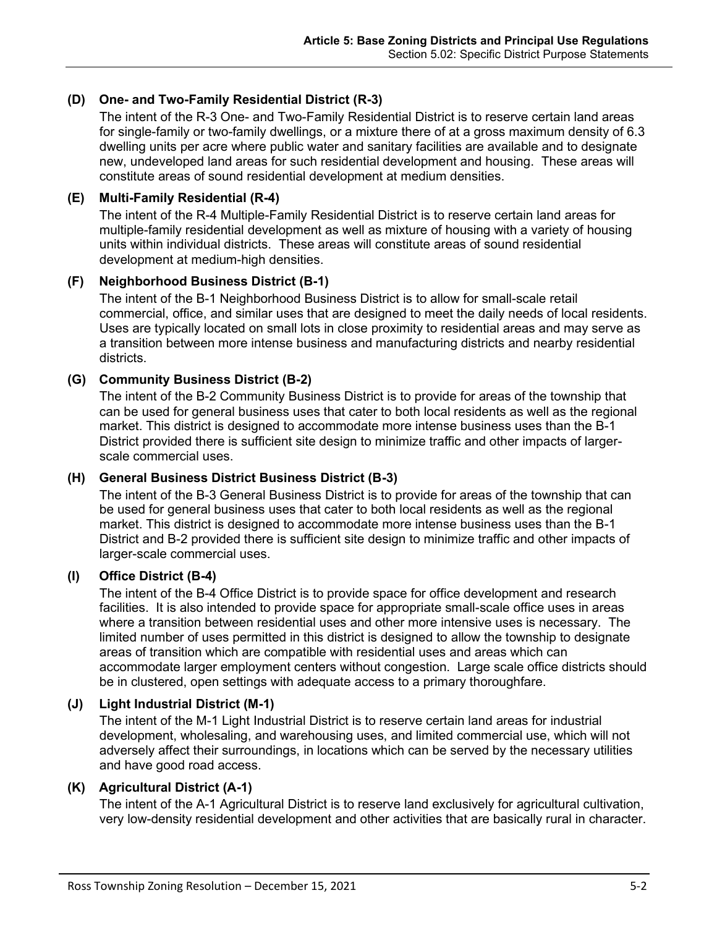# **(D) One- and Two-Family Residential District (R-3)**

The intent of the R-3 One- and Two-Family Residential District is to reserve certain land areas for single-family or two-family dwellings, or a mixture there of at a gross maximum density of 6.3 dwelling units per acre where public water and sanitary facilities are available and to designate new, undeveloped land areas for such residential development and housing. These areas will constitute areas of sound residential development at medium densities.

# **(E) Multi-Family Residential (R-4)**

The intent of the R-4 Multiple-Family Residential District is to reserve certain land areas for multiple-family residential development as well as mixture of housing with a variety of housing units within individual districts. These areas will constitute areas of sound residential development at medium-high densities.

### **(F) Neighborhood Business District (B-1)**

The intent of the B-1 Neighborhood Business District is to allow for small-scale retail commercial, office, and similar uses that are designed to meet the daily needs of local residents. Uses are typically located on small lots in close proximity to residential areas and may serve as a transition between more intense business and manufacturing districts and nearby residential districts.

# **(G) Community Business District (B-2)**

The intent of the B-2 Community Business District is to provide for areas of the township that can be used for general business uses that cater to both local residents as well as the regional market. This district is designed to accommodate more intense business uses than the B-1 District provided there is sufficient site design to minimize traffic and other impacts of largerscale commercial uses.

# **(H) General Business District Business District (B-3)**

The intent of the B-3 General Business District is to provide for areas of the township that can be used for general business uses that cater to both local residents as well as the regional market. This district is designed to accommodate more intense business uses than the B-1 District and B-2 provided there is sufficient site design to minimize traffic and other impacts of larger-scale commercial uses.

### **(I) Office District (B-4)**

The intent of the B-4 Office District is to provide space for office development and research facilities. It is also intended to provide space for appropriate small-scale office uses in areas where a transition between residential uses and other more intensive uses is necessary. The limited number of uses permitted in this district is designed to allow the township to designate areas of transition which are compatible with residential uses and areas which can accommodate larger employment centers without congestion. Large scale office districts should be in clustered, open settings with adequate access to a primary thoroughfare.

# **(J) Light Industrial District (M-1)**

The intent of the M-1 Light Industrial District is to reserve certain land areas for industrial development, wholesaling, and warehousing uses, and limited commercial use, which will not adversely affect their surroundings, in locations which can be served by the necessary utilities and have good road access.

# **(K) Agricultural District (A-1)**

The intent of the A-1 Agricultural District is to reserve land exclusively for agricultural cultivation, very low-density residential development and other activities that are basically rural in character.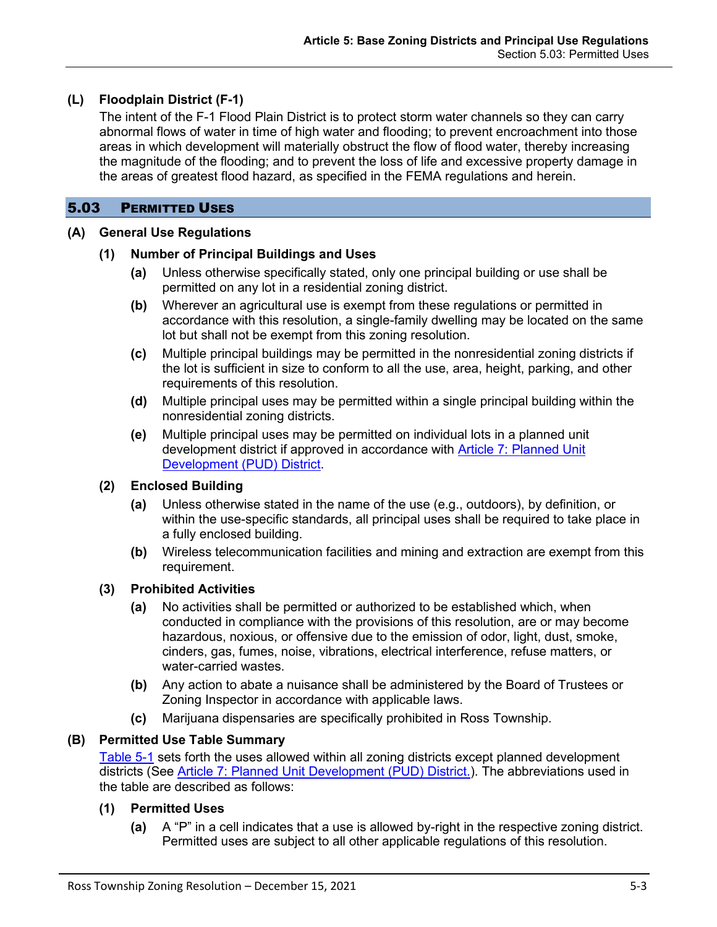# **(L) Floodplain District (F-1)**

The intent of the F-1 Flood Plain District is to protect storm water channels so they can carry abnormal flows of water in time of high water and flooding; to prevent encroachment into those areas in which development will materially obstruct the flow of flood water, thereby increasing the magnitude of the flooding; and to prevent the loss of life and excessive property damage in the areas of greatest flood hazard, as specified in the FEMA regulations and herein.

# 5.03 PERMITTED USES

### **(A) General Use Regulations**

### **(1) Number of Principal Buildings and Uses**

- **(a)** Unless otherwise specifically stated, only one principal building or use shall be permitted on any lot in a residential zoning district.
- **(b)** Wherever an agricultural use is exempt from these regulations or permitted in accordance with this resolution, a single-family dwelling may be located on the same lot but shall not be exempt from this zoning resolution.
- **(c)** Multiple principal buildings may be permitted in the nonresidential zoning districts if the lot is sufficient in size to conform to all the use, area, height, parking, and other requirements of this resolution.
- **(d)** Multiple principal uses may be permitted within a single principal building within the nonresidential zoning districts.
- **(e)** Multiple principal uses may be permitted on individual lots in a planned unit development district if approved in accordance with Article 7: Planned Unit Development (PUD) District.

# **(2) Enclosed Building**

- **(a)** Unless otherwise stated in the name of the use (e.g., outdoors), by definition, or within the use-specific standards, all principal uses shall be required to take place in a fully enclosed building.
- **(b)** Wireless telecommunication facilities and mining and extraction are exempt from this requirement.

# **(3) Prohibited Activities**

- **(a)** No activities shall be permitted or authorized to be established which, when conducted in compliance with the provisions of this resolution, are or may become hazardous, noxious, or offensive due to the emission of odor, light, dust, smoke, cinders, gas, fumes, noise, vibrations, electrical interference, refuse matters, or water-carried wastes.
- **(b)** Any action to abate a nuisance shall be administered by the Board of Trustees or Zoning Inspector in accordance with applicable laws.
- **(c)** Marijuana dispensaries are specifically prohibited in Ross Township.

# **(B) Permitted Use Table Summary**

[Table 5-1](#page-4-0) sets forth the uses allowed within all zoning districts except planned development districts (See Article 7: Planned Unit Development (PUD) District.). The abbreviations used in the table are described as follows:

# **(1) Permitted Uses**

**(a)** A "P" in a cell indicates that a use is allowed by-right in the respective zoning district. Permitted uses are subject to all other applicable regulations of this resolution.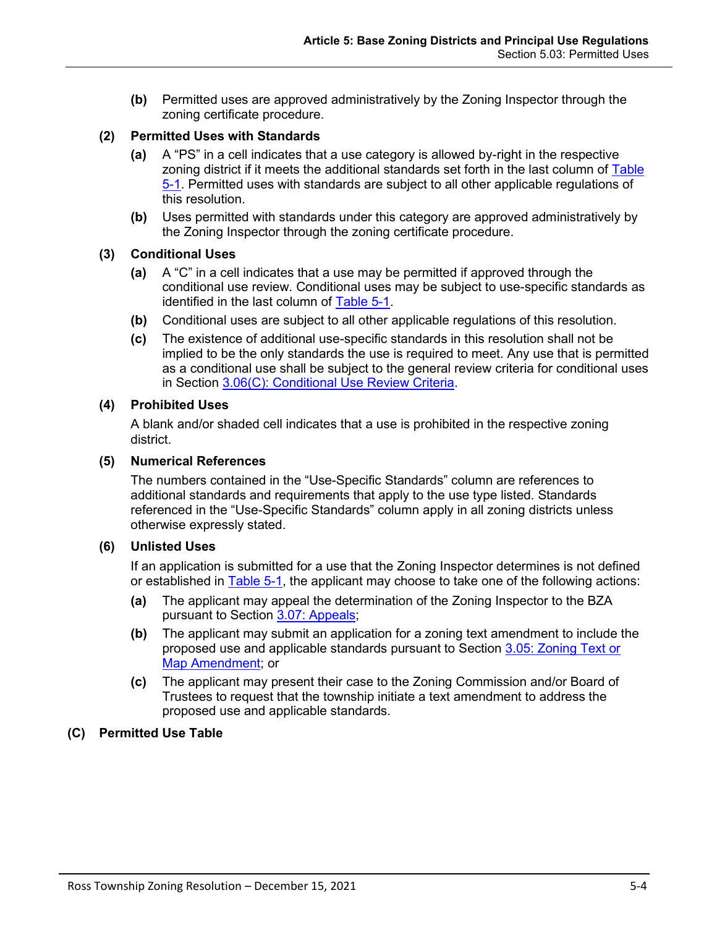**(b)** Permitted uses are approved administratively by the Zoning Inspector through the zoning certificate procedure.

# **(2) Permitted Uses with Standards**

- **(a)** A "PS" in a cell indicates that a use category is allowed by-right in the respective zoning district if it meets the additional standards set forth in the last column of Table [5-1.](#page-4-0) Permitted uses with standards are subject to all other applicable regulations of this resolution.
- **(b)** Uses permitted with standards under this category are approved administratively by the Zoning Inspector through the zoning certificate procedure.

### **(3) Conditional Uses**

- **(a)** A "C" in a cell indicates that a use may be permitted if approved through the conditional use review. Conditional uses may be subject to use-specific standards as identified in the last column of [Table 5-1.](#page-4-0)
- **(b)** Conditional uses are subject to all other applicable regulations of this resolution.
- **(c)** The existence of additional use-specific standards in this resolution shall not be implied to be the only standards the use is required to meet. Any use that is permitted as a conditional use shall be subject to the general review criteria for conditional uses in Section 3.06(C): Conditional Use Review Criteria.

### **(4) Prohibited Uses**

A blank and/or shaded cell indicates that a use is prohibited in the respective zoning district.

### **(5) Numerical References**

The numbers contained in the "Use-Specific Standards" column are references to additional standards and requirements that apply to the use type listed. Standards referenced in the "Use-Specific Standards" column apply in all zoning districts unless otherwise expressly stated.

### **(6) Unlisted Uses**

If an application is submitted for a use that the Zoning Inspector determines is not defined or established in [Table 5-1,](#page-4-0) the applicant may choose to take one of the following actions:

- **(a)** The applicant may appeal the determination of the Zoning Inspector to the BZA pursuant to Section 3.07: Appeals;
- **(b)** The applicant may submit an application for a zoning text amendment to include the proposed use and applicable standards pursuant to Section 3.05: Zoning Text or Map Amendment; or
- **(c)** The applicant may present their case to the Zoning Commission and/or Board of Trustees to request that the township initiate a text amendment to address the proposed use and applicable standards.

# **(C) Permitted Use Table**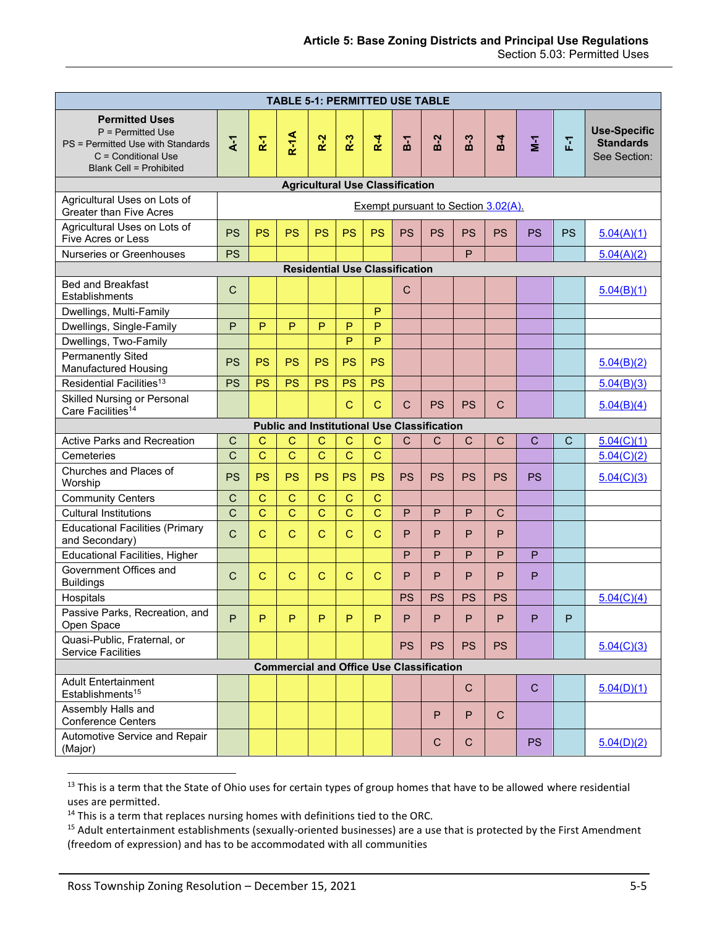<span id="page-4-0"></span>

| <b>TABLE 5-1: PERMITTED USE TABLE</b>                                                                                                      |                                     |                |                |                |                |                                       |                |              |              |              |                |           |                                                         |
|--------------------------------------------------------------------------------------------------------------------------------------------|-------------------------------------|----------------|----------------|----------------|----------------|---------------------------------------|----------------|--------------|--------------|--------------|----------------|-----------|---------------------------------------------------------|
| <b>Permitted Uses</b><br>$P = Permitted Use$<br>PS = Permitted Use with Standards<br>C = Conditional Use<br><b>Blank Cell = Prohibited</b> | $\overline{A}$                      | R <sub>1</sub> | $R-1A$         | $R-2$          | $R-3$          | $R - 4$                               | $\overline{5}$ | $B-2$        | $B-3$        | $B-4$        | $\overline{2}$ | 군         | <b>Use-Specific</b><br><b>Standards</b><br>See Section: |
| <b>Agricultural Use Classification</b>                                                                                                     |                                     |                |                |                |                |                                       |                |              |              |              |                |           |                                                         |
| Agricultural Uses on Lots of<br><b>Greater than Five Acres</b>                                                                             | Exempt pursuant to Section 3.02(A). |                |                |                |                |                                       |                |              |              |              |                |           |                                                         |
| Agricultural Uses on Lots of<br>Five Acres or Less                                                                                         | <b>PS</b>                           | <b>PS</b>      | <b>PS</b>      | <b>PS</b>      | <b>PS</b>      | <b>PS</b>                             | <b>PS</b>      | <b>PS</b>    | <b>PS</b>    | <b>PS</b>    | <b>PS</b>      | <b>PS</b> | 5.04(A)(1)                                              |
| Nurseries or Greenhouses                                                                                                                   | <b>PS</b>                           |                |                |                |                |                                       |                |              | P            |              |                |           | 5.04(A)(2)                                              |
|                                                                                                                                            |                                     |                |                |                |                | <b>Residential Use Classification</b> |                |              |              |              |                |           |                                                         |
| <b>Bed and Breakfast</b><br>Establishments                                                                                                 | $\mathsf{C}$                        |                |                |                |                |                                       | $\mathsf{C}$   |              |              |              |                |           | 5.04(B)(1)                                              |
| Dwellings, Multi-Family                                                                                                                    |                                     |                |                |                |                | P                                     |                |              |              |              |                |           |                                                         |
| Dwellings, Single-Family                                                                                                                   | P                                   | P              | P              | P              | P              | P                                     |                |              |              |              |                |           |                                                         |
| Dwellings, Two-Family                                                                                                                      |                                     |                |                |                | P              | P                                     |                |              |              |              |                |           |                                                         |
| <b>Permanently Sited</b><br>Manufactured Housing                                                                                           | <b>PS</b>                           | <b>PS</b>      | <b>PS</b>      | <b>PS</b>      | <b>PS</b>      | <b>PS</b>                             |                |              |              |              |                |           | 5.04(B)(2)                                              |
| Residential Facilities <sup>13</sup>                                                                                                       | <b>PS</b>                           | <b>PS</b>      | <b>PS</b>      | <b>PS</b>      | <b>PS</b>      | <b>PS</b>                             |                |              |              |              |                |           | 5.04(B)(3)                                              |
| Skilled Nursing or Personal<br>Care Facilities <sup>14</sup>                                                                               |                                     |                |                |                | $\mathbf C$    | $\mathbf C$                           | $\mathsf{C}$   | <b>PS</b>    | <b>PS</b>    | $\mathsf{C}$ |                |           | 5.04(B)(4)                                              |
| <b>Public and Institutional Use Classification</b>                                                                                         |                                     |                |                |                |                |                                       |                |              |              |              |                |           |                                                         |
| Active Parks and Recreation                                                                                                                | $\mathsf{C}$                        | $\mathsf{C}$   | С              | C              | $\mathsf{C}$   | C                                     | $\mathsf{C}$   | $\mathsf{C}$ | $\mathsf{C}$ | $\mathsf{C}$ | C              | С         | 5.04(C)(1)                                              |
| Cemeteries                                                                                                                                 | $\mathsf{C}$                        | $\overline{C}$ | $\overline{C}$ | $\overline{C}$ | $\mathbf C$    | $\mathsf{C}$                          |                |              |              |              |                |           | 5.04(C)(2)                                              |
| Churches and Places of<br>Worship                                                                                                          | <b>PS</b>                           | <b>PS</b>      | <b>PS</b>      | <b>PS</b>      | PS             | <b>PS</b>                             | <b>PS</b>      | <b>PS</b>    | <b>PS</b>    | <b>PS</b>    | <b>PS</b>      |           | 5.04(C)(3)                                              |
| <b>Community Centers</b>                                                                                                                   | $\mathsf{C}$                        | $\mathsf{C}$   | $\mathbf C$    | $\mathbf C$    | $\mathsf{C}$   | $\mathbf C$                           |                |              |              |              |                |           |                                                         |
| <b>Cultural Institutions</b>                                                                                                               | $\mathsf{C}$                        | $\overline{C}$ | $\overline{C}$ | $\overline{C}$ | $\overline{C}$ | $\overline{C}$                        | P              | P            | P            | $\mathsf{C}$ |                |           |                                                         |
| <b>Educational Facilities (Primary</b><br>and Secondary)                                                                                   | $\overline{C}$                      | $\mathbf C$    | $\mathsf{C}$   | $\mathbf C$    | $\mathsf{C}$   | $\mathbf C$                           | P              | P            | P            | P            |                |           |                                                         |
| <b>Educational Facilities, Higher</b>                                                                                                      |                                     |                |                |                |                |                                       | P              | P            | P            | P            | P              |           |                                                         |
| Government Offices and<br><b>Buildings</b>                                                                                                 | $\mathsf{C}$                        | $\mathbf C$    | $\mathbf C$    | $\mathsf{C}$   | $\mathbf C$    | $\mathbf C$                           | P              | P            | P            | P            | P              |           |                                                         |
| Hospitals                                                                                                                                  |                                     |                |                |                |                |                                       | <b>PS</b>      | <b>PS</b>    | <b>PS</b>    | <b>PS</b>    |                |           | 5.04(C)(4)                                              |
| Passive Parks, Recreation, and<br>Open Space                                                                                               | P.                                  | P.             | P.             | P.             | P.             | P.                                    | $\mathsf{P}$   | P            | P.           | P.           | Р.             | P         |                                                         |
| Quasi-Public, Fraternal, or<br><b>Service Facilities</b>                                                                                   |                                     |                |                |                |                |                                       | <b>PS</b>      | <b>PS</b>    | <b>PS</b>    | <b>PS</b>    |                |           | 5.04(C)(3)                                              |
| <b>Commercial and Office Use Classification</b>                                                                                            |                                     |                |                |                |                |                                       |                |              |              |              |                |           |                                                         |
| <b>Adult Entertainment</b><br>Establishments <sup>15</sup>                                                                                 |                                     |                |                |                |                |                                       |                |              | $\mathbf C$  |              | $\mathsf{C}$   |           | 5.04(D)(1)                                              |
| Assembly Halls and<br><b>Conference Centers</b>                                                                                            |                                     |                |                |                |                |                                       |                | P            | P            | $\mathsf{C}$ |                |           |                                                         |
| Automotive Service and Repair<br>(Major)                                                                                                   |                                     |                |                |                |                |                                       |                | C            | $\mathbf C$  |              | <b>PS</b>      |           | 5.04(D)(2)                                              |

<sup>&</sup>lt;sup>13</sup> This is a term that the State of Ohio uses for certain types of group homes that have to be allowed where residential uses are permitted.

<sup>&</sup>lt;sup>14</sup> This is a term that replaces nursing homes with definitions tied to the ORC.

<sup>&</sup>lt;sup>15</sup> Adult entertainment establishments (sexually-oriented businesses) are a use that is protected by the First Amendment (freedom of expression) and has to be accommodated with all communities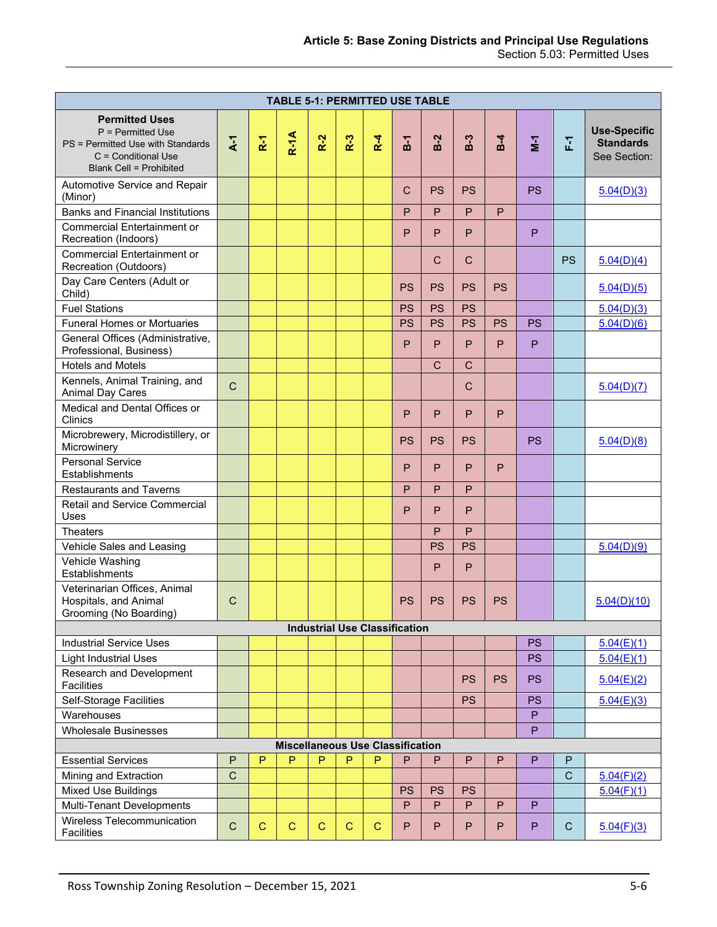| <b>TABLE 5-1: PERMITTED USE TABLE</b>                                                                                                    |                   |                         |             |             |             |             |                |              |              |           |                   |              |                                                         |
|------------------------------------------------------------------------------------------------------------------------------------------|-------------------|-------------------------|-------------|-------------|-------------|-------------|----------------|--------------|--------------|-----------|-------------------|--------------|---------------------------------------------------------|
| <b>Permitted Uses</b><br>P = Permitted Use<br>PS = Permitted Use with Standards<br>C = Conditional Use<br><b>Blank Cell = Prohibited</b> | $\overline{A}$ -1 | $\tilde{\mathbf{R}}$ -1 | $R-1A$      | $R-2$       | $R-3$       | $R-4$       | $\overline{5}$ | $B-2$        | $B-3$        | $B-4$     | $\mathbf{\Sigma}$ | 훈            | <b>Use-Specific</b><br><b>Standards</b><br>See Section: |
| Automotive Service and Repair<br>(Minor)                                                                                                 |                   |                         |             |             |             |             | C              | <b>PS</b>    | PS           |           | PS.               |              | 5.04(D)(3)                                              |
| <b>Banks and Financial Institutions</b>                                                                                                  |                   |                         |             |             |             |             | P              | P            | P            | P         |                   |              |                                                         |
| <b>Commercial Entertainment or</b><br>Recreation (Indoors)                                                                               |                   |                         |             |             |             |             | P              | P            | P            |           | P                 |              |                                                         |
| <b>Commercial Entertainment or</b><br>Recreation (Outdoors)                                                                              |                   |                         |             |             |             |             |                | $\mathsf{C}$ | $\mathsf{C}$ |           |                   | <b>PS</b>    | 5.04(D)(4)                                              |
| Day Care Centers (Adult or<br>Child)                                                                                                     |                   |                         |             |             |             |             | <b>PS</b>      | <b>PS</b>    | <b>PS</b>    | <b>PS</b> |                   |              | 5.04(D)(5)                                              |
| <b>Fuel Stations</b>                                                                                                                     |                   |                         |             |             |             |             | <b>PS</b>      | <b>PS</b>    | <b>PS</b>    |           |                   |              | 5.04(D)(3)                                              |
| <b>Funeral Homes or Mortuaries</b>                                                                                                       |                   |                         |             |             |             |             | <b>PS</b>      | <b>PS</b>    | <b>PS</b>    | <b>PS</b> | <b>PS</b>         |              | 5.04(D)(6)                                              |
| General Offices (Administrative,<br>Professional, Business)                                                                              |                   |                         |             |             |             |             | P              | P            | P            | P         | P                 |              |                                                         |
| <b>Hotels and Motels</b>                                                                                                                 |                   |                         |             |             |             |             |                | $\mathsf{C}$ | $\mathsf{C}$ |           |                   |              |                                                         |
| Kennels, Animal Training, and<br><b>Animal Day Cares</b>                                                                                 | $\mathsf{C}$      |                         |             |             |             |             |                |              | $\mathsf{C}$ |           |                   |              | 5.04(D)(7)                                              |
| Medical and Dental Offices or<br><b>Clinics</b>                                                                                          |                   |                         |             |             |             |             | P              | P            | P            | P         |                   |              |                                                         |
| Microbrewery, Microdistillery, or<br>Microwinery                                                                                         |                   |                         |             |             |             |             | <b>PS</b>      | <b>PS</b>    | <b>PS</b>    |           | <b>PS</b>         |              | 5.04(D)(8)                                              |
| <b>Personal Service</b><br>Establishments                                                                                                |                   |                         |             |             |             |             | P              | P            | P            | P         |                   |              |                                                         |
| <b>Restaurants and Taverns</b>                                                                                                           |                   |                         |             |             |             |             | P              | P            | P            |           |                   |              |                                                         |
| <b>Retail and Service Commercial</b><br>Uses                                                                                             |                   |                         |             |             |             |             | P              | P            | P            |           |                   |              |                                                         |
| <b>Theaters</b>                                                                                                                          |                   |                         |             |             |             |             |                | P            | P            |           |                   |              |                                                         |
| Vehicle Sales and Leasing                                                                                                                |                   |                         |             |             |             |             |                | <b>PS</b>    | <b>PS</b>    |           |                   |              | 5.04(D)(9)                                              |
| Vehicle Washing<br>Establishments                                                                                                        |                   |                         |             |             |             |             |                | P            | P            |           |                   |              |                                                         |
| Veterinarian Offices, Animal<br>Hospitals, and Animal<br>Grooming (No Boarding)                                                          | C                 |                         |             |             |             |             | <b>PS</b>      | <b>PS</b>    | <b>PS</b>    | <b>PS</b> |                   |              | 5.04(D)(10)                                             |
| <b>Industrial Use Classification</b>                                                                                                     |                   |                         |             |             |             |             |                |              |              |           |                   |              |                                                         |
| <b>Industrial Service Uses</b>                                                                                                           |                   |                         |             |             |             |             |                |              |              |           | <b>PS</b>         |              | 5.04(E)(1)                                              |
| <b>Light Industrial Uses</b>                                                                                                             |                   |                         |             |             |             |             |                |              |              |           | <b>PS</b>         |              | 5.04(E)(1)                                              |
| Research and Development<br>Facilities                                                                                                   |                   |                         |             |             |             |             |                |              | <b>PS</b>    | <b>PS</b> | <b>PS</b>         |              | 5.04(E)(2)                                              |
| Self-Storage Facilities                                                                                                                  |                   |                         |             |             |             |             |                |              | <b>PS</b>    |           | <b>PS</b>         |              | 5.04(E)(3)                                              |
| Warehouses                                                                                                                               |                   |                         |             |             |             |             |                |              |              |           | $\mathsf{P}$      |              |                                                         |
| <b>Wholesale Businesses</b>                                                                                                              |                   |                         |             |             |             |             |                |              |              |           | P                 |              |                                                         |
| <b>Miscellaneous Use Classification</b>                                                                                                  |                   |                         |             |             |             |             |                |              |              |           |                   |              |                                                         |
| <b>Essential Services</b>                                                                                                                | $\mathsf{P}$      | P                       | P           | P           | P           | P           | $\mathsf{P}$   | $\mathsf{P}$ | P            | P         | $\mathsf{P}$      | $\mathsf{P}$ |                                                         |
| Mining and Extraction                                                                                                                    | $\mathsf{C}$      |                         |             |             |             |             |                |              |              |           |                   | $\mathsf{C}$ | 5.04(F)(2)                                              |
| Mixed Use Buildings                                                                                                                      |                   |                         |             |             |             |             | <b>PS</b>      | <b>PS</b>    | <b>PS</b>    |           |                   |              | 5.04(F)(1)                                              |
| Multi-Tenant Developments                                                                                                                |                   |                         |             |             |             |             | P              | P            | P            | P         | $\mathsf{P}$      |              |                                                         |
| Wireless Telecommunication<br>Facilities                                                                                                 | $\mathbf C$       | $\mathbf C$             | $\mathbf C$ | $\mathbf C$ | $\mathbf C$ | $\mathbf C$ | P              | P            | P            | P         | P                 | $\mathsf{C}$ | 5.04(F)(3)                                              |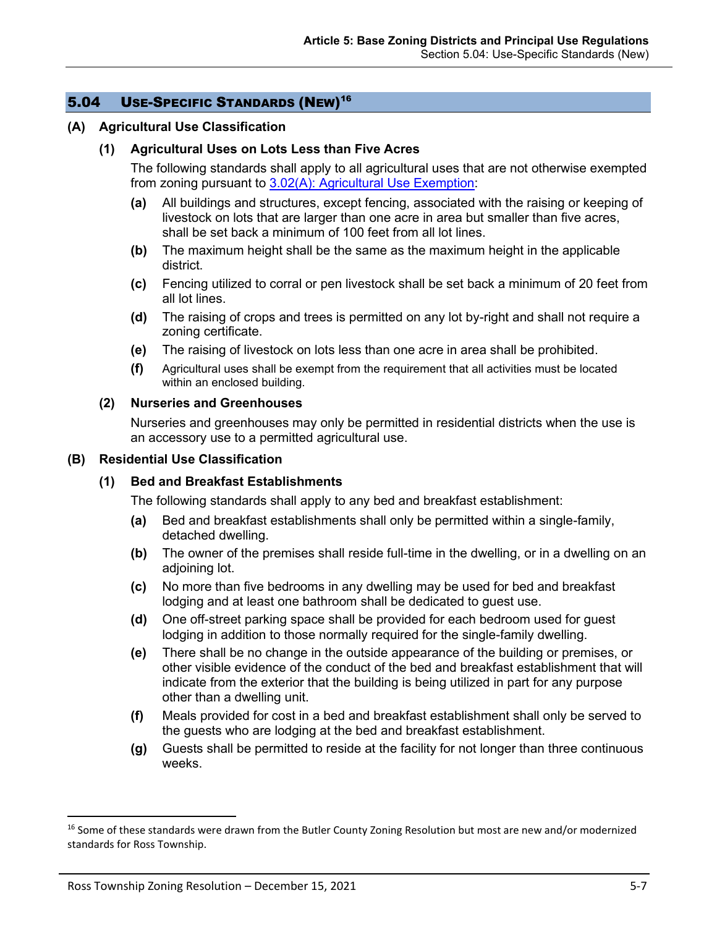# 5.04 USE-SPECIFIC STANDARDS (NEW)<sup>16</sup>

#### <span id="page-6-0"></span>**(A) Agricultural Use Classification**

### **(1) Agricultural Uses on Lots Less than Five Acres**

The following standards shall apply to all agricultural uses that are not otherwise exempted from zoning pursuant to 3.02(A): Agricultural Use Exemption:

- **(a)** All buildings and structures, except fencing, associated with the raising or keeping of livestock on lots that are larger than one acre in area but smaller than five acres, shall be set back a minimum of 100 feet from all lot lines.
- **(b)** The maximum height shall be the same as the maximum height in the applicable district.
- **(c)** Fencing utilized to corral or pen livestock shall be set back a minimum of 20 feet from all lot lines.
- **(d)** The raising of crops and trees is permitted on any lot by-right and shall not require a zoning certificate.
- **(e)** The raising of livestock on lots less than one acre in area shall be prohibited.
- **(f)** Agricultural uses shall be exempt from the requirement that all activities must be located within an enclosed building.

#### <span id="page-6-1"></span>**(2) Nurseries and Greenhouses**

Nurseries and greenhouses may only be permitted in residential districts when the use is an accessory use to a permitted agricultural use.

#### <span id="page-6-2"></span>**(B) Residential Use Classification**

#### **(1) Bed and Breakfast Establishments**

The following standards shall apply to any bed and breakfast establishment:

- **(a)** Bed and breakfast establishments shall only be permitted within a single-family, detached dwelling.
- **(b)** The owner of the premises shall reside full-time in the dwelling, or in a dwelling on an adjoining lot.
- **(c)** No more than five bedrooms in any dwelling may be used for bed and breakfast lodging and at least one bathroom shall be dedicated to guest use.
- **(d)** One off-street parking space shall be provided for each bedroom used for guest lodging in addition to those normally required for the single-family dwelling.
- **(e)** There shall be no change in the outside appearance of the building or premises, or other visible evidence of the conduct of the bed and breakfast establishment that will indicate from the exterior that the building is being utilized in part for any purpose other than a dwelling unit.
- **(f)** Meals provided for cost in a bed and breakfast establishment shall only be served to the guests who are lodging at the bed and breakfast establishment.
- **(g)** Guests shall be permitted to reside at the facility for not longer than three continuous weeks.

<sup>&</sup>lt;sup>16</sup> Some of these standards were drawn from the Butler County Zoning Resolution but most are new and/or modernized standards for Ross Township.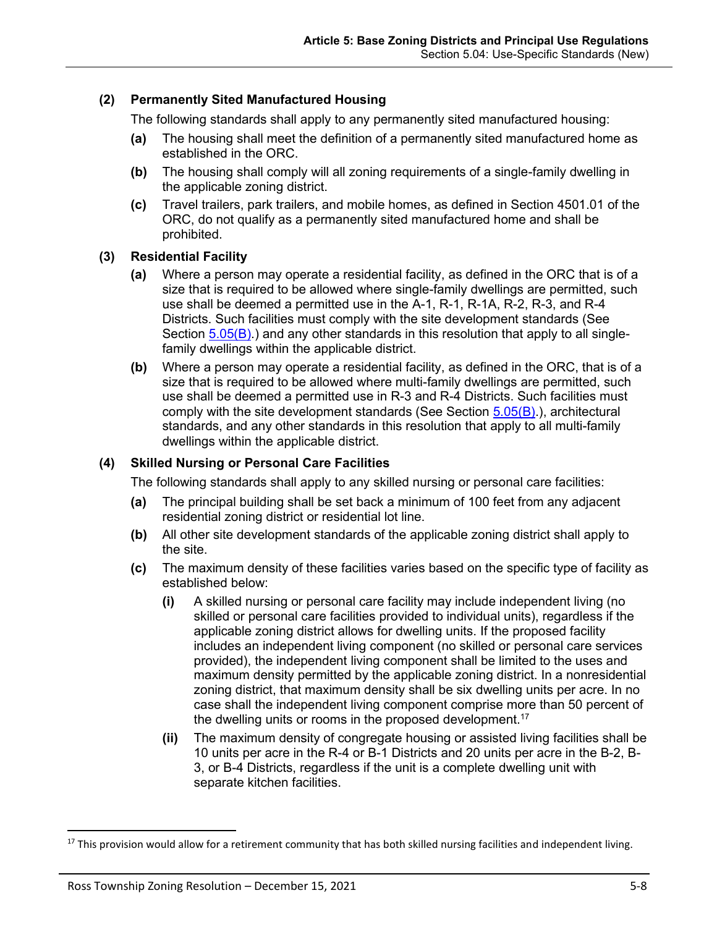### <span id="page-7-0"></span>**(2) Permanently Sited Manufactured Housing**

The following standards shall apply to any permanently sited manufactured housing:

- **(a)** The housing shall meet the definition of a permanently sited manufactured home as established in the ORC.
- **(b)** The housing shall comply will all zoning requirements of a single-family dwelling in the applicable zoning district.
- **(c)** Travel trailers, park trailers, and mobile homes, as defined in Section 4501.01 of the ORC, do not qualify as a permanently sited manufactured home and shall be prohibited.

### <span id="page-7-1"></span>**(3) Residential Facility**

- **(a)** Where a person may operate a residential facility, as defined in the ORC that is of a size that is required to be allowed where single-family dwellings are permitted, such use shall be deemed a permitted use in the A-1, R-1, R-1A, R-2, R-3, and R-4 Districts. Such facilities must comply with the site development standards (See Section  $5.05(B)$ .) and any other standards in this resolution that apply to all singlefamily dwellings within the applicable district.
- **(b)** Where a person may operate a residential facility, as defined in the ORC, that is of a size that is required to be allowed where multi-family dwellings are permitted, such use shall be deemed a permitted use in R-3 and R-4 Districts. Such facilities must comply with the site development standards (See Section [5.05\(B\).](#page-29-0)), architectural standards, and any other standards in this resolution that apply to all multi-family dwellings within the applicable district.

### <span id="page-7-2"></span>**(4) Skilled Nursing or Personal Care Facilities**

The following standards shall apply to any skilled nursing or personal care facilities:

- **(a)** The principal building shall be set back a minimum of 100 feet from any adjacent residential zoning district or residential lot line.
- **(b)** All other site development standards of the applicable zoning district shall apply to the site.
- **(c)** The maximum density of these facilities varies based on the specific type of facility as established below:
	- **(i)** A skilled nursing or personal care facility may include independent living (no skilled or personal care facilities provided to individual units), regardless if the applicable zoning district allows for dwelling units. If the proposed facility includes an independent living component (no skilled or personal care services provided), the independent living component shall be limited to the uses and maximum density permitted by the applicable zoning district. In a nonresidential zoning district, that maximum density shall be six dwelling units per acre. In no case shall the independent living component comprise more than 50 percent of the dwelling units or rooms in the proposed development.<sup>17</sup>
	- **(ii)** The maximum density of congregate housing or assisted living facilities shall be 10 units per acre in the R-4 or B-1 Districts and 20 units per acre in the B-2, B-3, or B-4 Districts, regardless if the unit is a complete dwelling unit with separate kitchen facilities.

 $17$  This provision would allow for a retirement community that has both skilled nursing facilities and independent living.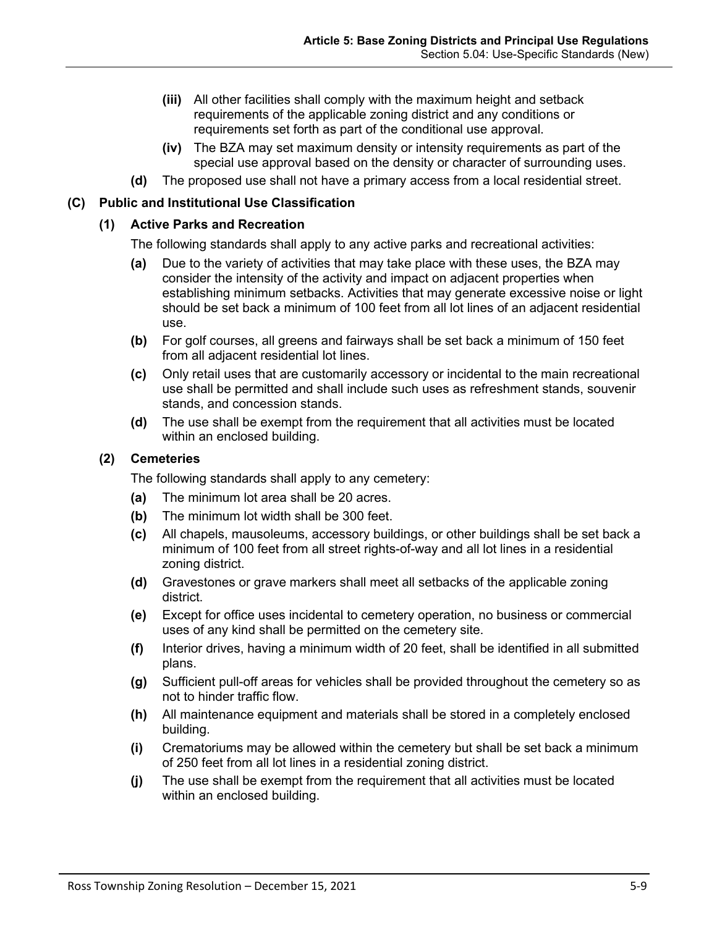- **(iii)** All other facilities shall comply with the maximum height and setback requirements of the applicable zoning district and any conditions or requirements set forth as part of the conditional use approval.
- **(iv)** The BZA may set maximum density or intensity requirements as part of the special use approval based on the density or character of surrounding uses.
- **(d)** The proposed use shall not have a primary access from a local residential street.

### <span id="page-8-0"></span>**(C) Public and Institutional Use Classification**

### **(1) Active Parks and Recreation**

The following standards shall apply to any active parks and recreational activities:

- **(a)** Due to the variety of activities that may take place with these uses, the BZA may consider the intensity of the activity and impact on adjacent properties when establishing minimum setbacks. Activities that may generate excessive noise or light should be set back a minimum of 100 feet from all lot lines of an adjacent residential use.
- **(b)** For golf courses, all greens and fairways shall be set back a minimum of 150 feet from all adjacent residential lot lines.
- **(c)** Only retail uses that are customarily accessory or incidental to the main recreational use shall be permitted and shall include such uses as refreshment stands, souvenir stands, and concession stands.
- **(d)** The use shall be exempt from the requirement that all activities must be located within an enclosed building.

### <span id="page-8-1"></span>**(2) Cemeteries**

The following standards shall apply to any cemetery:

- **(a)** The minimum lot area shall be 20 acres.
- **(b)** The minimum lot width shall be 300 feet.
- **(c)** All chapels, mausoleums, accessory buildings, or other buildings shall be set back a minimum of 100 feet from all street rights-of-way and all lot lines in a residential zoning district.
- **(d)** Gravestones or grave markers shall meet all setbacks of the applicable zoning district.
- **(e)** Except for office uses incidental to cemetery operation, no business or commercial uses of any kind shall be permitted on the cemetery site.
- **(f)** Interior drives, having a minimum width of 20 feet, shall be identified in all submitted plans.
- **(g)** Sufficient pull-off areas for vehicles shall be provided throughout the cemetery so as not to hinder traffic flow.
- **(h)** All maintenance equipment and materials shall be stored in a completely enclosed building.
- **(i)** Crematoriums may be allowed within the cemetery but shall be set back a minimum of 250 feet from all lot lines in a residential zoning district.
- **(j)** The use shall be exempt from the requirement that all activities must be located within an enclosed building.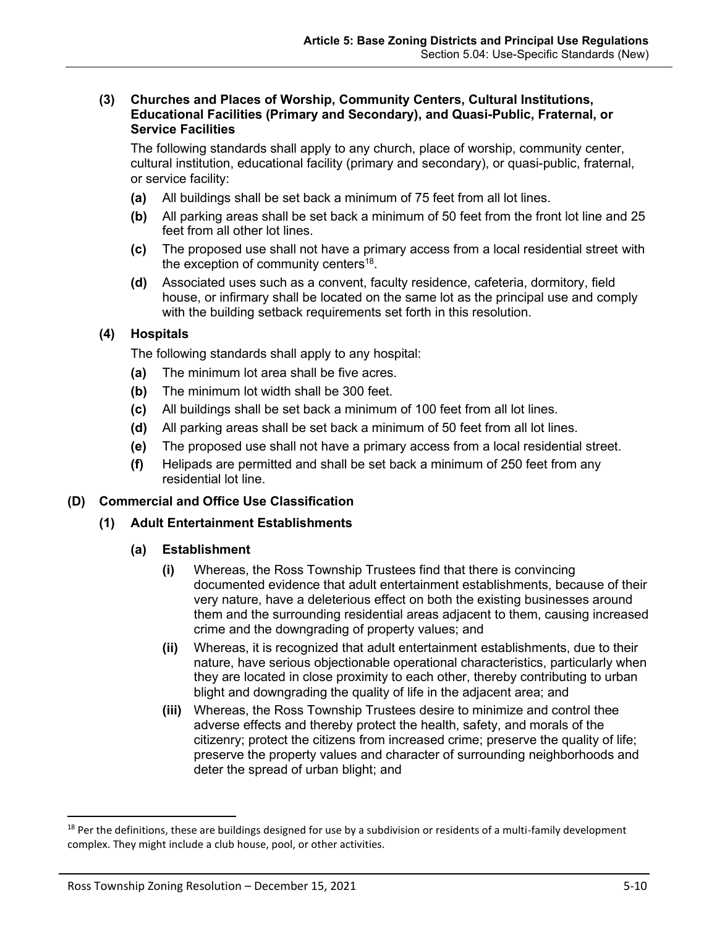#### <span id="page-9-0"></span>**(3) Churches and Places of Worship, Community Centers, Cultural Institutions, Educational Facilities (Primary and Secondary), and Quasi-Public, Fraternal, or Service Facilities**

The following standards shall apply to any church, place of worship, community center, cultural institution, educational facility (primary and secondary), or quasi-public, fraternal, or service facility:

- **(a)** All buildings shall be set back a minimum of 75 feet from all lot lines.
- **(b)** All parking areas shall be set back a minimum of 50 feet from the front lot line and 25 feet from all other lot lines.
- **(c)** The proposed use shall not have a primary access from a local residential street with the exception of community centers<sup>18</sup>.
- **(d)** Associated uses such as a convent, faculty residence, cafeteria, dormitory, field house, or infirmary shall be located on the same lot as the principal use and comply with the building setback requirements set forth in this resolution.

# <span id="page-9-1"></span>**(4) Hospitals**

The following standards shall apply to any hospital:

- **(a)** The minimum lot area shall be five acres.
- **(b)** The minimum lot width shall be 300 feet.
- **(c)** All buildings shall be set back a minimum of 100 feet from all lot lines.
- **(d)** All parking areas shall be set back a minimum of 50 feet from all lot lines.
- **(e)** The proposed use shall not have a primary access from a local residential street.
- **(f)** Helipads are permitted and shall be set back a minimum of 250 feet from any residential lot line.

# <span id="page-9-2"></span>**(D) Commercial and Office Use Classification**

# **(1) Adult Entertainment Establishments**

### **(a) Establishment**

- **(i)** Whereas, the Ross Township Trustees find that there is convincing documented evidence that adult entertainment establishments, because of their very nature, have a deleterious effect on both the existing businesses around them and the surrounding residential areas adjacent to them, causing increased crime and the downgrading of property values; and
- **(ii)** Whereas, it is recognized that adult entertainment establishments, due to their nature, have serious objectionable operational characteristics, particularly when they are located in close proximity to each other, thereby contributing to urban blight and downgrading the quality of life in the adjacent area; and
- **(iii)** Whereas, the Ross Township Trustees desire to minimize and control thee adverse effects and thereby protect the health, safety, and morals of the citizenry; protect the citizens from increased crime; preserve the quality of life; preserve the property values and character of surrounding neighborhoods and deter the spread of urban blight; and

<sup>&</sup>lt;sup>18</sup> Per the definitions, these are buildings designed for use by a subdivision or residents of a multi-family development complex. They might include a club house, pool, or other activities.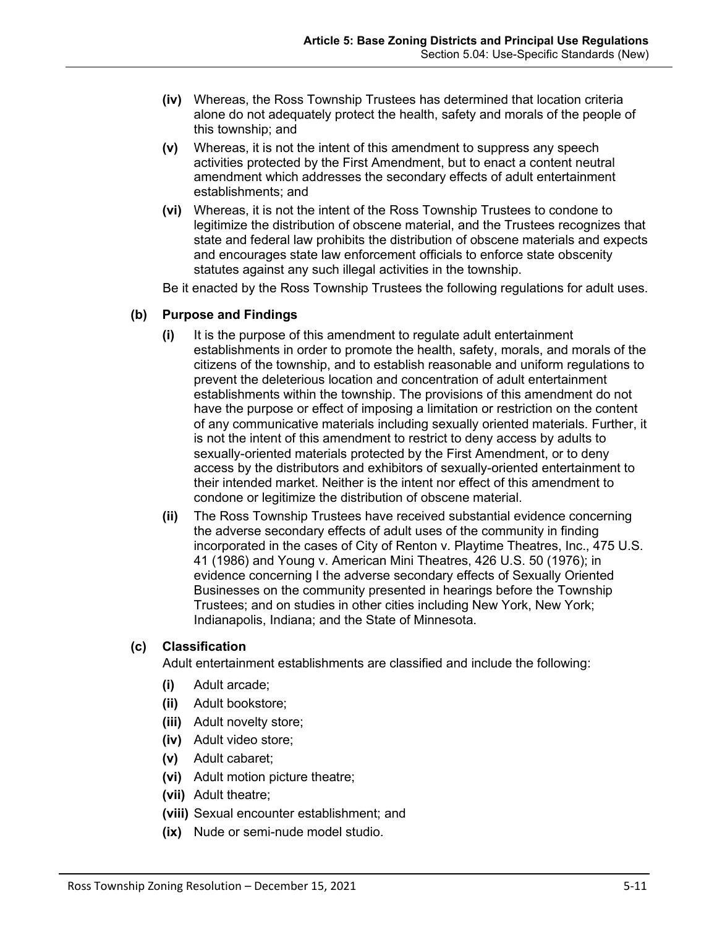- **(iv)** Whereas, the Ross Township Trustees has determined that location criteria alone do not adequately protect the health, safety and morals of the people of this township; and
- **(v)** Whereas, it is not the intent of this amendment to suppress any speech activities protected by the First Amendment, but to enact a content neutral amendment which addresses the secondary effects of adult entertainment establishments; and
- **(vi)** Whereas, it is not the intent of the Ross Township Trustees to condone to legitimize the distribution of obscene material, and the Trustees recognizes that state and federal law prohibits the distribution of obscene materials and expects and encourages state law enforcement officials to enforce state obscenity statutes against any such illegal activities in the township.

Be it enacted by the Ross Township Trustees the following regulations for adult uses.

### **(b) Purpose and Findings**

- **(i)** It is the purpose of this amendment to regulate adult entertainment establishments in order to promote the health, safety, morals, and morals of the citizens of the township, and to establish reasonable and uniform regulations to prevent the deleterious location and concentration of adult entertainment establishments within the township. The provisions of this amendment do not have the purpose or effect of imposing a limitation or restriction on the content of any communicative materials including sexually oriented materials. Further, it is not the intent of this amendment to restrict to deny access by adults to sexually-oriented materials protected by the First Amendment, or to deny access by the distributors and exhibitors of sexually-oriented entertainment to their intended market. Neither is the intent nor effect of this amendment to condone or legitimize the distribution of obscene material.
- **(ii)** The Ross Township Trustees have received substantial evidence concerning the adverse secondary effects of adult uses of the community in finding incorporated in the cases of City of Renton v. Playtime Theatres, Inc., 475 U.S. 41 (1986) and Young v. American Mini Theatres, 426 U.S. 50 (1976); in evidence concerning I the adverse secondary effects of Sexually Oriented Businesses on the community presented in hearings before the Township Trustees; and on studies in other cities including New York, New York; Indianapolis, Indiana; and the State of Minnesota.

#### **(c) Classification**

Adult entertainment establishments are classified and include the following:

- **(i)** Adult arcade;
- **(ii)** Adult bookstore;
- **(iii)** Adult novelty store;
- **(iv)** Adult video store;
- **(v)** Adult cabaret;
- **(vi)** Adult motion picture theatre;
- **(vii)** Adult theatre;
- **(viii)** Sexual encounter establishment; and
- **(ix)** Nude or semi-nude model studio.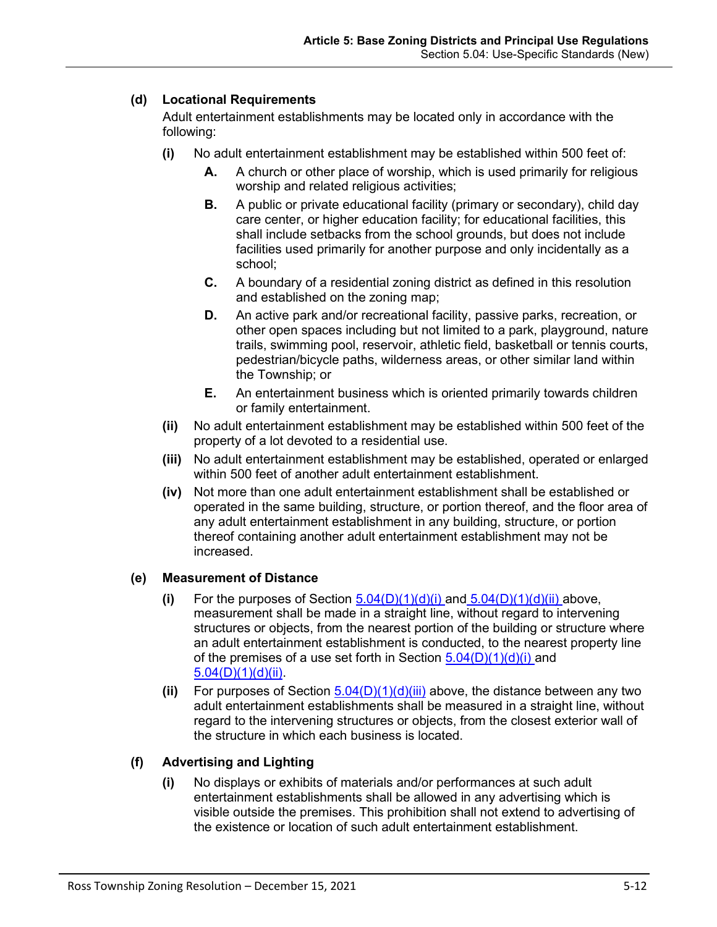# <span id="page-11-0"></span>**(d) Locational Requirements**

Adult entertainment establishments may be located only in accordance with the following:

- **(i)** No adult entertainment establishment may be established within 500 feet of:
	- **A.** A church or other place of worship, which is used primarily for religious worship and related religious activities;
	- **B.** A public or private educational facility (primary or secondary), child day care center, or higher education facility; for educational facilities, this shall include setbacks from the school grounds, but does not include facilities used primarily for another purpose and only incidentally as a school;
	- **C.** A boundary of a residential zoning district as defined in this resolution and established on the zoning map;
	- **D.** An active park and/or recreational facility, passive parks, recreation, or other open spaces including but not limited to a park, playground, nature trails, swimming pool, reservoir, athletic field, basketball or tennis courts, pedestrian/bicycle paths, wilderness areas, or other similar land within the Township; or
	- **E.** An entertainment business which is oriented primarily towards children or family entertainment.
- <span id="page-11-1"></span>**(ii)** No adult entertainment establishment may be established within 500 feet of the property of a lot devoted to a residential use.
- <span id="page-11-2"></span>**(iii)** No adult entertainment establishment may be established, operated or enlarged within 500 feet of another adult entertainment establishment.
- **(iv)** Not more than one adult entertainment establishment shall be established or operated in the same building, structure, or portion thereof, and the floor area of any adult entertainment establishment in any building, structure, or portion thereof containing another adult entertainment establishment may not be increased.

### **(e) Measurement of Distance**

- **(i)** For the purposes of Section  $\underline{5.04(D)(1)(d)(i)}$  and  $\underline{5.04(D)(1)(d)(ii)}$  $\underline{5.04(D)(1)(d)(ii)}$  $\underline{5.04(D)(1)(d)(ii)}$  above, measurement shall be made in a straight line, without regard to intervening structures or objects, from the nearest portion of the building or structure where an adult entertainment establishment is conducted, to the nearest property line of the premises of a use set forth in Section  $5.04(D)(1)(d)(i)$  and [5.04\(D\)\(1\)\(d\)\(ii\).](#page-11-1)
- **(ii)** For purposes of Section  $5.04(D)(1)(d)(iii)$  above, the distance between any two adult entertainment establishments shall be measured in a straight line, without regard to the intervening structures or objects, from the closest exterior wall of the structure in which each business is located.

# **(f) Advertising and Lighting**

**(i)** No displays or exhibits of materials and/or performances at such adult entertainment establishments shall be allowed in any advertising which is visible outside the premises. This prohibition shall not extend to advertising of the existence or location of such adult entertainment establishment.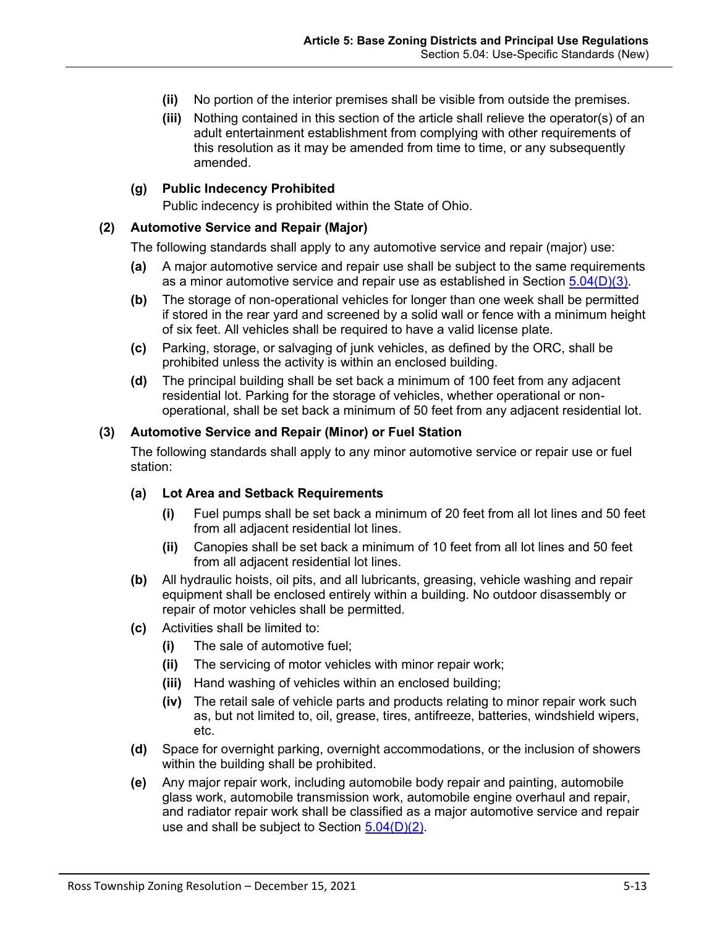- **(ii)** No portion of the interior premises shall be visible from outside the premises.
- **(iii)** Nothing contained in this section of the article shall relieve the operator(s) of an adult entertainment establishment from complying with other requirements of this resolution as it may be amended from time to time, or any subsequently amended.

#### **(g) Public Indecency Prohibited**

Public indecency is prohibited within the State of Ohio.

#### <span id="page-12-0"></span>**(2) Automotive Service and Repair (Major)**

The following standards shall apply to any automotive service and repair (major) use:

- **(a)** A major automotive service and repair use shall be subject to the same requirements as a minor automotive service and repair use as established in Section  $5.04(D)(3)$ .
- **(b)** The storage of non-operational vehicles for longer than one week shall be permitted if stored in the rear yard and screened by a solid wall or fence with a minimum height of six feet. All vehicles shall be required to have a valid license plate.
- **(c)** Parking, storage, or salvaging of junk vehicles, as defined by the ORC, shall be prohibited unless the activity is within an enclosed building.
- **(d)** The principal building shall be set back a minimum of 100 feet from any adjacent residential lot. Parking for the storage of vehicles, whether operational or nonoperational, shall be set back a minimum of 50 feet from any adjacent residential lot.

#### <span id="page-12-1"></span>**(3) Automotive Service and Repair (Minor) or Fuel Station**

The following standards shall apply to any minor automotive service or repair use or fuel station:

#### **(a) Lot Area and Setback Requirements**

- **(i)** Fuel pumps shall be set back a minimum of 20 feet from all lot lines and 50 feet from all adjacent residential lot lines.
- **(ii)** Canopies shall be set back a minimum of 10 feet from all lot lines and 50 feet from all adjacent residential lot lines.
- **(b)** All hydraulic hoists, oil pits, and all lubricants, greasing, vehicle washing and repair equipment shall be enclosed entirely within a building. No outdoor disassembly or repair of motor vehicles shall be permitted.
- **(c)** Activities shall be limited to:
	- **(i)** The sale of automotive fuel;
	- **(ii)** The servicing of motor vehicles with minor repair work;
	- **(iii)** Hand washing of vehicles within an enclosed building;
	- **(iv)** The retail sale of vehicle parts and products relating to minor repair work such as, but not limited to, oil, grease, tires, antifreeze, batteries, windshield wipers, etc.
- **(d)** Space for overnight parking, overnight accommodations, or the inclusion of showers within the building shall be prohibited.
- **(e)** Any major repair work, including automobile body repair and painting, automobile glass work, automobile transmission work, automobile engine overhaul and repair, and radiator repair work shall be classified as a major automotive service and repair use and shall be subject to Section  $5.04(D)(2)$ .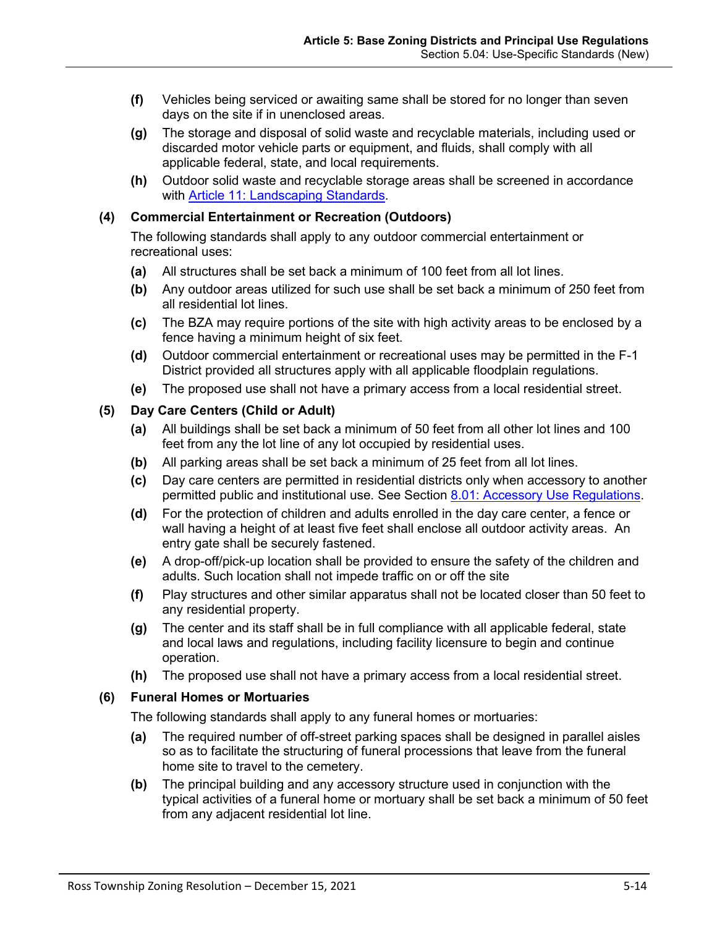- **(f)** Vehicles being serviced or awaiting same shall be stored for no longer than seven days on the site if in unenclosed areas.
- **(g)** The storage and disposal of solid waste and recyclable materials, including used or discarded motor vehicle parts or equipment, and fluids, shall comply with all applicable federal, state, and local requirements.
- **(h)** Outdoor solid waste and recyclable storage areas shall be screened in accordance with Article 11: Landscaping Standards.

### <span id="page-13-0"></span>**(4) Commercial Entertainment or Recreation (Outdoors)**

The following standards shall apply to any outdoor commercial entertainment or recreational uses:

- **(a)** All structures shall be set back a minimum of 100 feet from all lot lines.
- **(b)** Any outdoor areas utilized for such use shall be set back a minimum of 250 feet from all residential lot lines.
- **(c)** The BZA may require portions of the site with high activity areas to be enclosed by a fence having a minimum height of six feet.
- **(d)** Outdoor commercial entertainment or recreational uses may be permitted in the F-1 District provided all structures apply with all applicable floodplain regulations.
- **(e)** The proposed use shall not have a primary access from a local residential street.

### <span id="page-13-1"></span>**(5) Day Care Centers (Child or Adult)**

- **(a)** All buildings shall be set back a minimum of 50 feet from all other lot lines and 100 feet from any the lot line of any lot occupied by residential uses.
- **(b)** All parking areas shall be set back a minimum of 25 feet from all lot lines.
- **(c)** Day care centers are permitted in residential districts only when accessory to another permitted public and institutional use. See Section 8.01: Accessory Use Regulations.
- **(d)** For the protection of children and adults enrolled in the day care center, a fence or wall having a height of at least five feet shall enclose all outdoor activity areas. An entry gate shall be securely fastened.
- **(e)** A drop-off/pick-up location shall be provided to ensure the safety of the children and adults. Such location shall not impede traffic on or off the site
- **(f)** Play structures and other similar apparatus shall not be located closer than 50 feet to any residential property.
- **(g)** The center and its staff shall be in full compliance with all applicable federal, state and local laws and regulations, including facility licensure to begin and continue operation.
- **(h)** The proposed use shall not have a primary access from a local residential street.

### <span id="page-13-2"></span>**(6) Funeral Homes or Mortuaries**

The following standards shall apply to any funeral homes or mortuaries:

- **(a)** The required number of off-street parking spaces shall be designed in parallel aisles so as to facilitate the structuring of funeral processions that leave from the funeral home site to travel to the cemetery.
- **(b)** The principal building and any accessory structure used in conjunction with the typical activities of a funeral home or mortuary shall be set back a minimum of 50 feet from any adjacent residential lot line.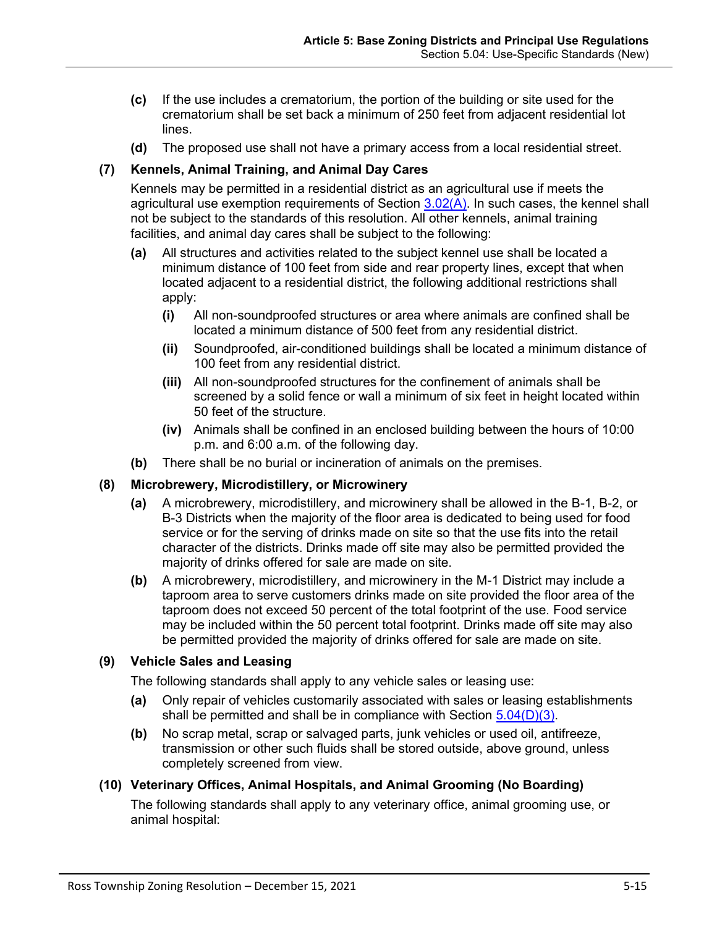- **(c)** If the use includes a crematorium, the portion of the building or site used for the crematorium shall be set back a minimum of 250 feet from adjacent residential lot lines.
- **(d)** The proposed use shall not have a primary access from a local residential street.

### <span id="page-14-0"></span>**(7) Kennels, Animal Training, and Animal Day Cares**

Kennels may be permitted in a residential district as an agricultural use if meets the agricultural use exemption requirements of Section 3.02(A). In such cases, the kennel shall not be subject to the standards of this resolution. All other kennels, animal training facilities, and animal day cares shall be subject to the following:

- **(a)** All structures and activities related to the subject kennel use shall be located a minimum distance of 100 feet from side and rear property lines, except that when located adjacent to a residential district, the following additional restrictions shall apply:
	- **(i)** All non-soundproofed structures or area where animals are confined shall be located a minimum distance of 500 feet from any residential district.
	- **(ii)** Soundproofed, air-conditioned buildings shall be located a minimum distance of 100 feet from any residential district.
	- **(iii)** All non-soundproofed structures for the confinement of animals shall be screened by a solid fence or wall a minimum of six feet in height located within 50 feet of the structure.
	- **(iv)** Animals shall be confined in an enclosed building between the hours of 10:00 p.m. and 6:00 a.m. of the following day.
- **(b)** There shall be no burial or incineration of animals on the premises.

### <span id="page-14-1"></span>**(8) Microbrewery, Microdistillery, or Microwinery**

- **(a)** A microbrewery, microdistillery, and microwinery shall be allowed in the B-1, B-2, or B-3 Districts when the majority of the floor area is dedicated to being used for food service or for the serving of drinks made on site so that the use fits into the retail character of the districts. Drinks made off site may also be permitted provided the majority of drinks offered for sale are made on site.
- **(b)** A microbrewery, microdistillery, and microwinery in the M-1 District may include a taproom area to serve customers drinks made on site provided the floor area of the taproom does not exceed 50 percent of the total footprint of the use. Food service may be included within the 50 percent total footprint. Drinks made off site may also be permitted provided the majority of drinks offered for sale are made on site.

### <span id="page-14-2"></span>**(9) Vehicle Sales and Leasing**

The following standards shall apply to any vehicle sales or leasing use:

- **(a)** Only repair of vehicles customarily associated with sales or leasing establishments shall be permitted and shall be in compliance with Section [5.04\(D\)\(3\).](#page-12-1)
- **(b)** No scrap metal, scrap or salvaged parts, junk vehicles or used oil, antifreeze, transmission or other such fluids shall be stored outside, above ground, unless completely screened from view.

### <span id="page-14-3"></span>**(10) Veterinary Offices, Animal Hospitals, and Animal Grooming (No Boarding)**

The following standards shall apply to any veterinary office, animal grooming use, or animal hospital: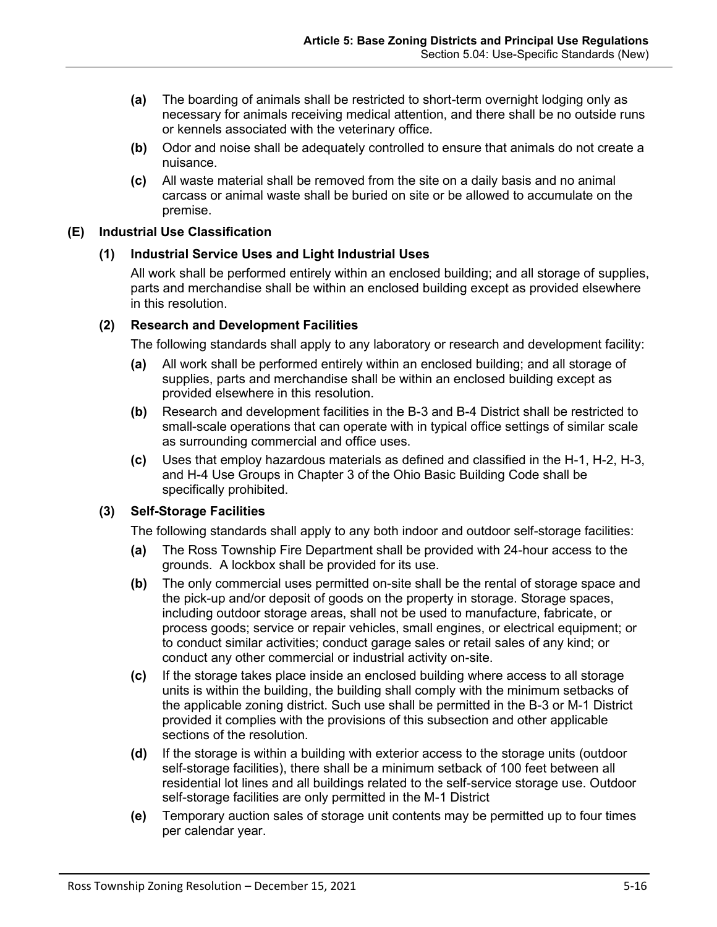- **(a)** The boarding of animals shall be restricted to short-term overnight lodging only as necessary for animals receiving medical attention, and there shall be no outside runs or kennels associated with the veterinary office.
- **(b)** Odor and noise shall be adequately controlled to ensure that animals do not create a nuisance.
- **(c)** All waste material shall be removed from the site on a daily basis and no animal carcass or animal waste shall be buried on site or be allowed to accumulate on the premise.

### <span id="page-15-0"></span>**(E) Industrial Use Classification**

### **(1) Industrial Service Uses and Light Industrial Uses**

All work shall be performed entirely within an enclosed building; and all storage of supplies, parts and merchandise shall be within an enclosed building except as provided elsewhere in this resolution.

### <span id="page-15-1"></span>**(2) Research and Development Facilities**

The following standards shall apply to any laboratory or research and development facility:

- **(a)** All work shall be performed entirely within an enclosed building; and all storage of supplies, parts and merchandise shall be within an enclosed building except as provided elsewhere in this resolution.
- **(b)** Research and development facilities in the B-3 and B-4 District shall be restricted to small-scale operations that can operate with in typical office settings of similar scale as surrounding commercial and office uses.
- **(c)** Uses that employ hazardous materials as defined and classified in the H-1, H-2, H-3, and H-4 Use Groups in Chapter 3 of the Ohio Basic Building Code shall be specifically prohibited.

### <span id="page-15-2"></span>**(3) Self-Storage Facilities**

The following standards shall apply to any both indoor and outdoor self-storage facilities:

- **(a)** The Ross Township Fire Department shall be provided with 24-hour access to the grounds. A lockbox shall be provided for its use.
- **(b)** The only commercial uses permitted on-site shall be the rental of storage space and the pick-up and/or deposit of goods on the property in storage. Storage spaces, including outdoor storage areas, shall not be used to manufacture, fabricate, or process goods; service or repair vehicles, small engines, or electrical equipment; or to conduct similar activities; conduct garage sales or retail sales of any kind; or conduct any other commercial or industrial activity on-site.
- **(c)** If the storage takes place inside an enclosed building where access to all storage units is within the building, the building shall comply with the minimum setbacks of the applicable zoning district. Such use shall be permitted in the B-3 or M-1 District provided it complies with the provisions of this subsection and other applicable sections of the resolution.
- **(d)** If the storage is within a building with exterior access to the storage units (outdoor self-storage facilities), there shall be a minimum setback of 100 feet between all residential lot lines and all buildings related to the self-service storage use. Outdoor self-storage facilities are only permitted in the M-1 District
- **(e)** Temporary auction sales of storage unit contents may be permitted up to four times per calendar year.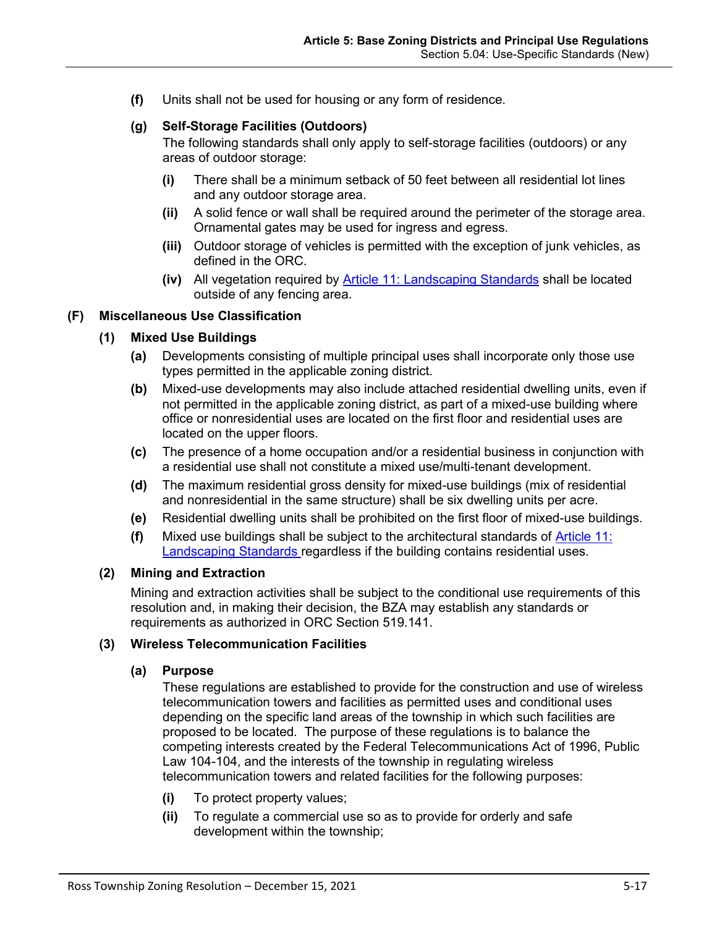**(f)** Units shall not be used for housing or any form of residence.

# **(g) Self-Storage Facilities (Outdoors)**

The following standards shall only apply to self-storage facilities (outdoors) or any areas of outdoor storage:

- **(i)** There shall be a minimum setback of 50 feet between all residential lot lines and any outdoor storage area.
- **(ii)** A solid fence or wall shall be required around the perimeter of the storage area. Ornamental gates may be used for ingress and egress.
- **(iii)** Outdoor storage of vehicles is permitted with the exception of junk vehicles, as defined in the ORC.
- **(iv)** All vegetation required by Article 11: Landscaping Standards shall be located outside of any fencing area.

### <span id="page-16-1"></span>**(F) Miscellaneous Use Classification**

### **(1) Mixed Use Buildings**

- **(a)** Developments consisting of multiple principal uses shall incorporate only those use types permitted in the applicable zoning district.
- **(b)** Mixed-use developments may also include attached residential dwelling units, even if not permitted in the applicable zoning district, as part of a mixed-use building where office or nonresidential uses are located on the first floor and residential uses are located on the upper floors.
- **(c)** The presence of a home occupation and/or a residential business in conjunction with a residential use shall not constitute a mixed use/multi-tenant development.
- **(d)** The maximum residential gross density for mixed-use buildings (mix of residential and nonresidential in the same structure) shall be six dwelling units per acre.
- **(e)** Residential dwelling units shall be prohibited on the first floor of mixed-use buildings.
- **(f)** Mixed use buildings shall be subject to the architectural standards of Article 11: Landscaping Standards regardless if the building contains residential uses.

#### <span id="page-16-0"></span>**(2) Mining and Extraction**

Mining and extraction activities shall be subject to the conditional use requirements of this resolution and, in making their decision, the BZA may establish any standards or requirements as authorized in ORC Section 519.141.

### <span id="page-16-2"></span>**(3) Wireless Telecommunication Facilities**

#### **(a) Purpose**

These regulations are established to provide for the construction and use of wireless telecommunication towers and facilities as permitted uses and conditional uses depending on the specific land areas of the township in which such facilities are proposed to be located. The purpose of these regulations is to balance the competing interests created by the Federal Telecommunications Act of 1996, Public Law 104-104, and the interests of the township in regulating wireless telecommunication towers and related facilities for the following purposes:

- **(i)** To protect property values;
- **(ii)** To regulate a commercial use so as to provide for orderly and safe development within the township;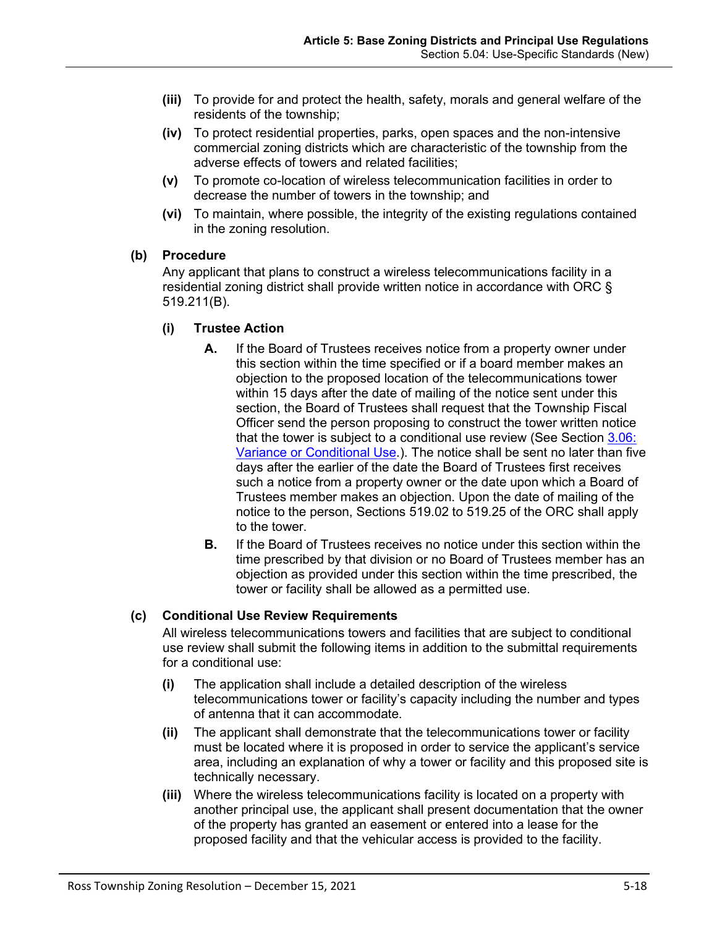- **(iii)** To provide for and protect the health, safety, morals and general welfare of the residents of the township;
- **(iv)** To protect residential properties, parks, open spaces and the non-intensive commercial zoning districts which are characteristic of the township from the adverse effects of towers and related facilities;
- **(v)** To promote co-location of wireless telecommunication facilities in order to decrease the number of towers in the township; and
- **(vi)** To maintain, where possible, the integrity of the existing regulations contained in the zoning resolution.

### **(b) Procedure**

Any applicant that plans to construct a wireless telecommunications facility in a residential zoning district shall provide written notice in accordance with ORC § 519.211(B).

### **(i) Trustee Action**

- **A.** If the Board of Trustees receives notice from a property owner under this section within the time specified or if a board member makes an objection to the proposed location of the telecommunications tower within 15 days after the date of mailing of the notice sent under this section, the Board of Trustees shall request that the Township Fiscal Officer send the person proposing to construct the tower written notice that the tower is subject to a conditional use review (See Section 3.06: Variance or Conditional Use.). The notice shall be sent no later than five days after the earlier of the date the Board of Trustees first receives such a notice from a property owner or the date upon which a Board of Trustees member makes an objection. Upon the date of mailing of the notice to the person, Sections [519.02](http://codes.ohio.gov/orc/519.02) to [519.25](http://codes.ohio.gov/orc/519.25) of the ORC shall apply to the tower.
- **B.** If the Board of Trustees receives no notice under this section within the time prescribed by that division or no Board of Trustees member has an objection as provided under this section within the time prescribed, the tower or facility shall be allowed as a permitted use.

# **(c) Conditional Use Review Requirements**

All wireless telecommunications towers and facilities that are subject to conditional use review shall submit the following items in addition to the submittal requirements for a conditional use:

- **(i)** The application shall include a detailed description of the wireless telecommunications tower or facility's capacity including the number and types of antenna that it can accommodate.
- <span id="page-17-0"></span>**(ii)** The applicant shall demonstrate that the telecommunications tower or facility must be located where it is proposed in order to service the applicant's service area, including an explanation of why a tower or facility and this proposed site is technically necessary.
- **(iii)** Where the wireless telecommunications facility is located on a property with another principal use, the applicant shall present documentation that the owner of the property has granted an easement or entered into a lease for the proposed facility and that the vehicular access is provided to the facility.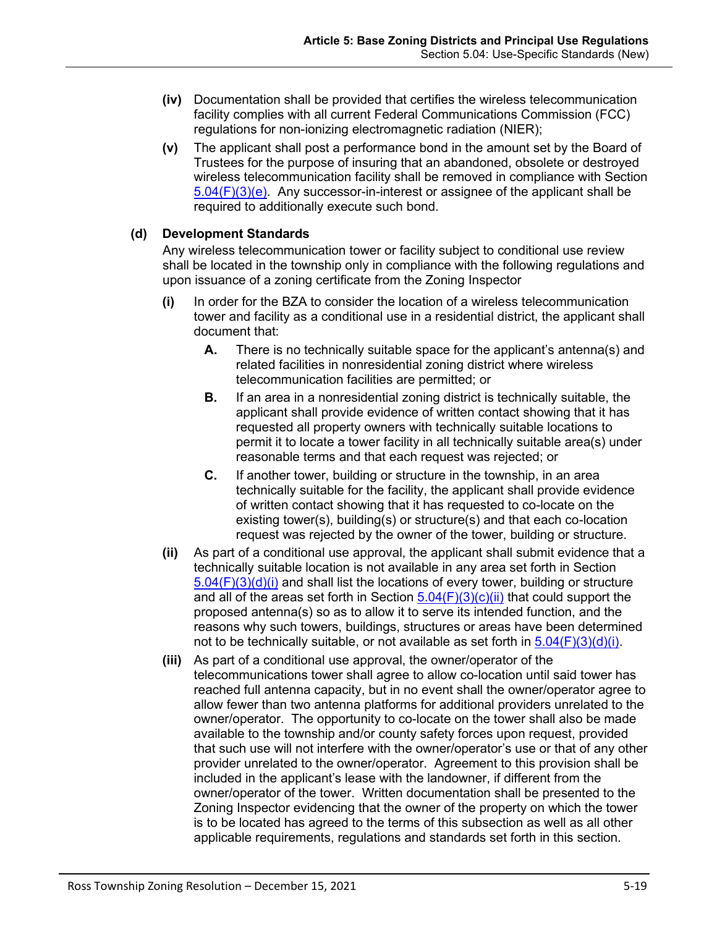- **(iv)** Documentation shall be provided that certifies the wireless telecommunication facility complies with all current Federal Communications Commission (FCC) regulations for non-ionizing electromagnetic radiation (NIER);
- **(v)** The applicant shall post a performance bond in the amount set by the Board of Trustees for the purpose of insuring that an abandoned, obsolete or destroyed wireless telecommunication facility shall be removed in compliance with Section  $5.04(F)(3)(e)$ . Any successor-in-interest or assignee of the applicant shall be required to additionally execute such bond.

### <span id="page-18-0"></span>**(d) Development Standards**

Any wireless telecommunication tower or facility subject to conditional use review shall be located in the township only in compliance with the following regulations and upon issuance of a zoning certificate from the Zoning Inspector

- **(i)** In order for the BZA to consider the location of a wireless telecommunication tower and facility as a conditional use in a residential district, the applicant shall document that:
	- **A.** There is no technically suitable space for the applicant's antenna(s) and related facilities in nonresidential zoning district where wireless telecommunication facilities are permitted; or
	- **B.** If an area in a nonresidential zoning district is technically suitable, the applicant shall provide evidence of written contact showing that it has requested all property owners with technically suitable locations to permit it to locate a tower facility in all technically suitable area(s) under reasonable terms and that each request was rejected; or
	- **C.** If another tower, building or structure in the township, in an area technically suitable for the facility, the applicant shall provide evidence of written contact showing that it has requested to co-locate on the existing tower(s), building(s) or structure(s) and that each co-location request was rejected by the owner of the tower, building or structure.
- **(ii)** As part of a conditional use approval, the applicant shall submit evidence that a technically suitable location is not available in any area set forth in Section  $5.04(F)(3)(d)(i)$  and shall list the locations of every tower, building or structure and all of the areas set forth in Section  $5.04(F)(3)(c)(ii)$  that could support the proposed antenna(s) so as to allow it to serve its intended function, and the reasons why such towers, buildings, structures or areas have been determined not to be technically suitable, or not available as set forth in  $5.04(F)(3)(d)(i)$ .
- **(iii)** As part of a conditional use approval, the owner/operator of the telecommunications tower shall agree to allow co-location until said tower has reached full antenna capacity, but in no event shall the owner/operator agree to allow fewer than two antenna platforms for additional providers unrelated to the owner/operator. The opportunity to co-locate on the tower shall also be made available to the township and/or county safety forces upon request, provided that such use will not interfere with the owner/operator's use or that of any other provider unrelated to the owner/operator. Agreement to this provision shall be included in the applicant's lease with the landowner, if different from the owner/operator of the tower. Written documentation shall be presented to the Zoning Inspector evidencing that the owner of the property on which the tower is to be located has agreed to the terms of this subsection as well as all other applicable requirements, regulations and standards set forth in this section.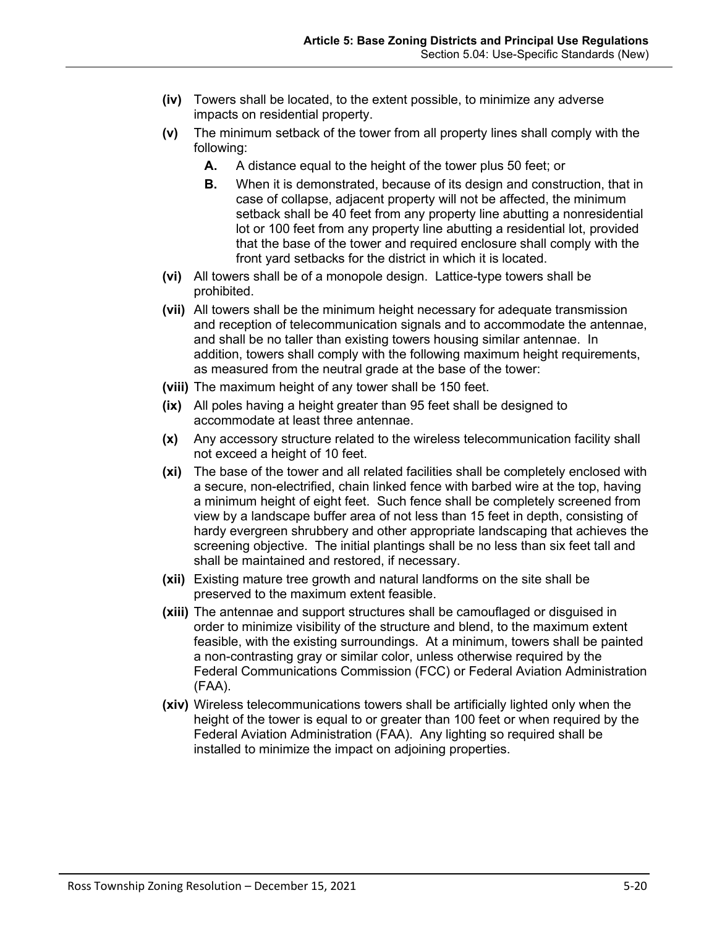- **(iv)** Towers shall be located, to the extent possible, to minimize any adverse impacts on residential property.
- **(v)** The minimum setback of the tower from all property lines shall comply with the following:
	- **A.** A distance equal to the height of the tower plus 50 feet; or
	- **B.** When it is demonstrated, because of its design and construction, that in case of collapse, adjacent property will not be affected, the minimum setback shall be 40 feet from any property line abutting a nonresidential lot or 100 feet from any property line abutting a residential lot, provided that the base of the tower and required enclosure shall comply with the front yard setbacks for the district in which it is located.
- **(vi)** All towers shall be of a monopole design. Lattice-type towers shall be prohibited.
- **(vii)** All towers shall be the minimum height necessary for adequate transmission and reception of telecommunication signals and to accommodate the antennae, and shall be no taller than existing towers housing similar antennae. In addition, towers shall comply with the following maximum height requirements, as measured from the neutral grade at the base of the tower:
- **(viii)** The maximum height of any tower shall be 150 feet.
- **(ix)** All poles having a height greater than 95 feet shall be designed to accommodate at least three antennae.
- **(x)** Any accessory structure related to the wireless telecommunication facility shall not exceed a height of 10 feet.
- **(xi)** The base of the tower and all related facilities shall be completely enclosed with a secure, non-electrified, chain linked fence with barbed wire at the top, having a minimum height of eight feet. Such fence shall be completely screened from view by a landscape buffer area of not less than 15 feet in depth, consisting of hardy evergreen shrubbery and other appropriate landscaping that achieves the screening objective. The initial plantings shall be no less than six feet tall and shall be maintained and restored, if necessary.
- **(xii)** Existing mature tree growth and natural landforms on the site shall be preserved to the maximum extent feasible.
- **(xiii)** The antennae and support structures shall be camouflaged or disguised in order to minimize visibility of the structure and blend, to the maximum extent feasible, with the existing surroundings. At a minimum, towers shall be painted a non-contrasting gray or similar color, unless otherwise required by the Federal Communications Commission (FCC) or Federal Aviation Administration (FAA).
- **(xiv)** Wireless telecommunications towers shall be artificially lighted only when the height of the tower is equal to or greater than 100 feet or when required by the Federal Aviation Administration (FAA). Any lighting so required shall be installed to minimize the impact on adjoining properties.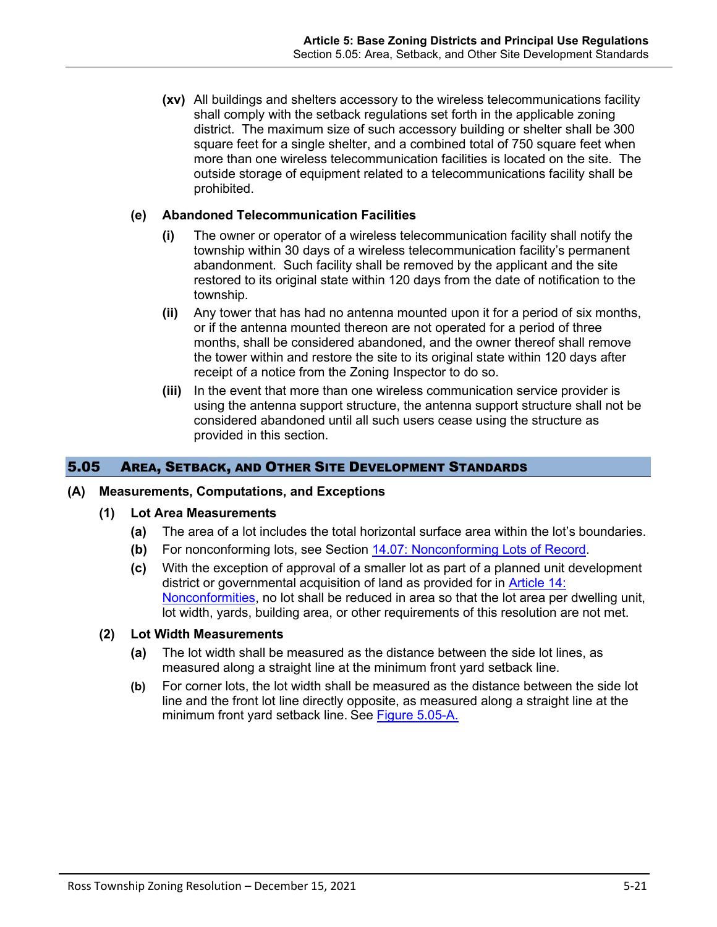**(xv)** All buildings and shelters accessory to the wireless telecommunications facility shall comply with the setback regulations set forth in the applicable zoning district. The maximum size of such accessory building or shelter shall be 300 square feet for a single shelter, and a combined total of 750 square feet when more than one wireless telecommunication facilities is located on the site. The outside storage of equipment related to a telecommunications facility shall be prohibited.

### <span id="page-20-0"></span>**(e) Abandoned Telecommunication Facilities**

- **(i)** The owner or operator of a wireless telecommunication facility shall notify the township within 30 days of a wireless telecommunication facility's permanent abandonment. Such facility shall be removed by the applicant and the site restored to its original state within 120 days from the date of notification to the township.
- **(ii)** Any tower that has had no antenna mounted upon it for a period of six months, or if the antenna mounted thereon are not operated for a period of three months, shall be considered abandoned, and the owner thereof shall remove the tower within and restore the site to its original state within 120 days after receipt of a notice from the Zoning Inspector to do so.
- **(iii)** In the event that more than one wireless communication service provider is using the antenna support structure, the antenna support structure shall not be considered abandoned until all such users cease using the structure as provided in this section.

# 5.05 AREA, SETBACK, AND OTHER SITE DEVELOPMENT STANDARDS

#### **(A) Measurements, Computations, and Exceptions**

- **(1) Lot Area Measurements** 
	- **(a)** The area of a lot includes the total horizontal surface area within the lot's boundaries.
	- **(b)** For nonconforming lots, see Section 14.07: Nonconforming Lots of Record.
	- **(c)** With the exception of approval of a smaller lot as part of a planned unit development district or governmental acquisition of land as provided for in Article 14: Nonconformities, no lot shall be reduced in area so that the lot area per dwelling unit, lot width, yards, building area, or other requirements of this resolution are not met.

#### **(2) Lot Width Measurements**

- **(a)** The lot width shall be measured as the distance between the side lot lines, as measured along a straight line at the minimum front yard setback line.
- **(b)** For corner lots, the lot width shall be measured as the distance between the side lot line and the front lot line directly opposite, as measured along a straight line at the minimum front yard setback line. See [Figure 5.05-A.](#page-21-0)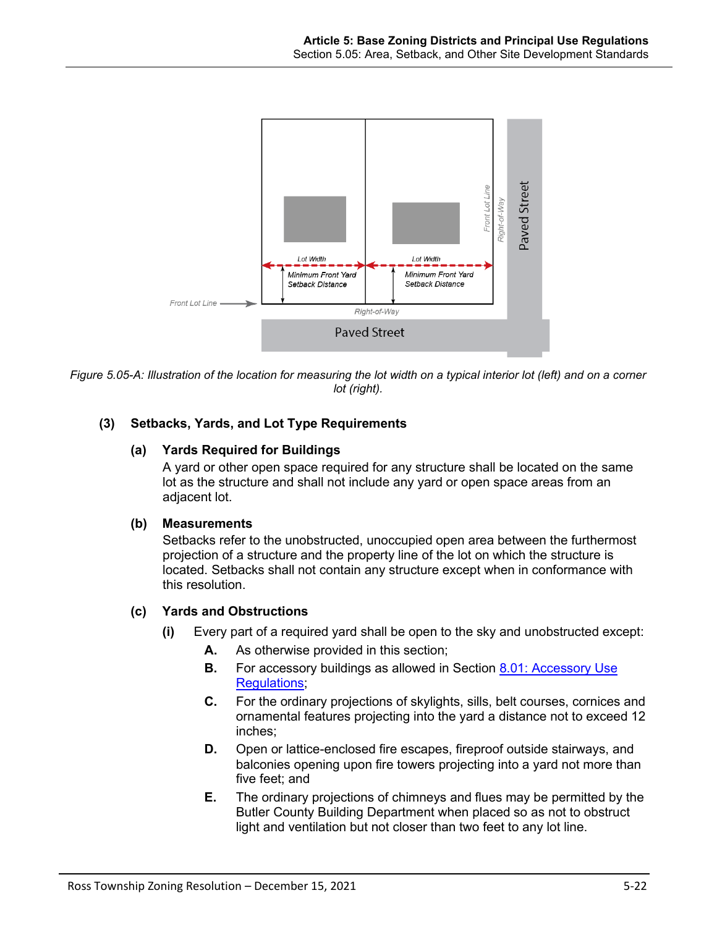

<span id="page-21-0"></span>*Figure 5.05-A: Illustration of the location for measuring the lot width on a typical interior lot (left) and on a corner lot (right).* 

# **(3) Setbacks, Yards, and Lot Type Requirements**

### **(a) Yards Required for Buildings**

A yard or other open space required for any structure shall be located on the same lot as the structure and shall not include any yard or open space areas from an adjacent lot.

### **(b) Measurements**

Setbacks refer to the unobstructed, unoccupied open area between the furthermost projection of a structure and the property line of the lot on which the structure is located. Setbacks shall not contain any structure except when in conformance with this resolution.

# **(c) Yards and Obstructions**

- **(i)** Every part of a required yard shall be open to the sky and unobstructed except:
	- **A.** As otherwise provided in this section;
	- **B.** For accessory buildings as allowed in Section 8.01: Accessory Use Regulations;
	- **C.** For the ordinary projections of skylights, sills, belt courses, cornices and ornamental features projecting into the yard a distance not to exceed 12 inches;
	- **D.** Open or lattice-enclosed fire escapes, fireproof outside stairways, and balconies opening upon fire towers projecting into a yard not more than five feet; and
	- **E.** The ordinary projections of chimneys and flues may be permitted by the Butler County Building Department when placed so as not to obstruct light and ventilation but not closer than two feet to any lot line.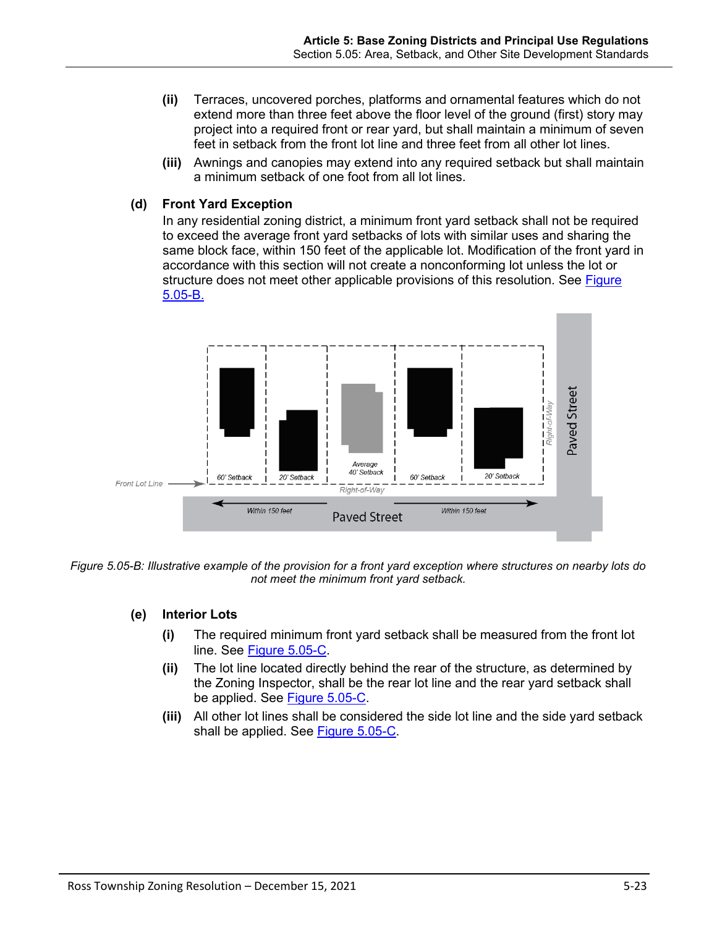- **(ii)** Terraces, uncovered porches, platforms and ornamental features which do not extend more than three feet above the floor level of the ground (first) story may project into a required front or rear yard, but shall maintain a minimum of seven feet in setback from the front lot line and three feet from all other lot lines.
- **(iii)** Awnings and canopies may extend into any required setback but shall maintain a minimum setback of one foot from all lot lines.

### <span id="page-22-1"></span>**(d) Front Yard Exception**

In any residential zoning district, a minimum front yard setback shall not be required to exceed the average front yard setbacks of lots with similar uses and sharing the same block face, within 150 feet of the applicable lot. Modification of the front yard in accordance with this section will not create a nonconforming lot unless the lot or structure does not meet other applicable provisions of this resolution. See Figure [5.05-B.](#page-22-0)



<span id="page-22-0"></span>*Figure 5.05-B: Illustrative example of the provision for a front yard exception where structures on nearby lots do not meet the minimum front yard setback.* 

- **(e) Interior Lots** 
	- **(i)** The required minimum front yard setback shall be measured from the front lot line. See [Figure 5.05-C.](#page-23-0)
	- **(ii)** The lot line located directly behind the rear of the structure, as determined by the Zoning Inspector, shall be the rear lot line and the rear yard setback shall be applied. See [Figure 5.05-C.](#page-23-0)
	- **(iii)** All other lot lines shall be considered the side lot line and the side yard setback shall be applied. See [Figure 5.05-C.](#page-23-0)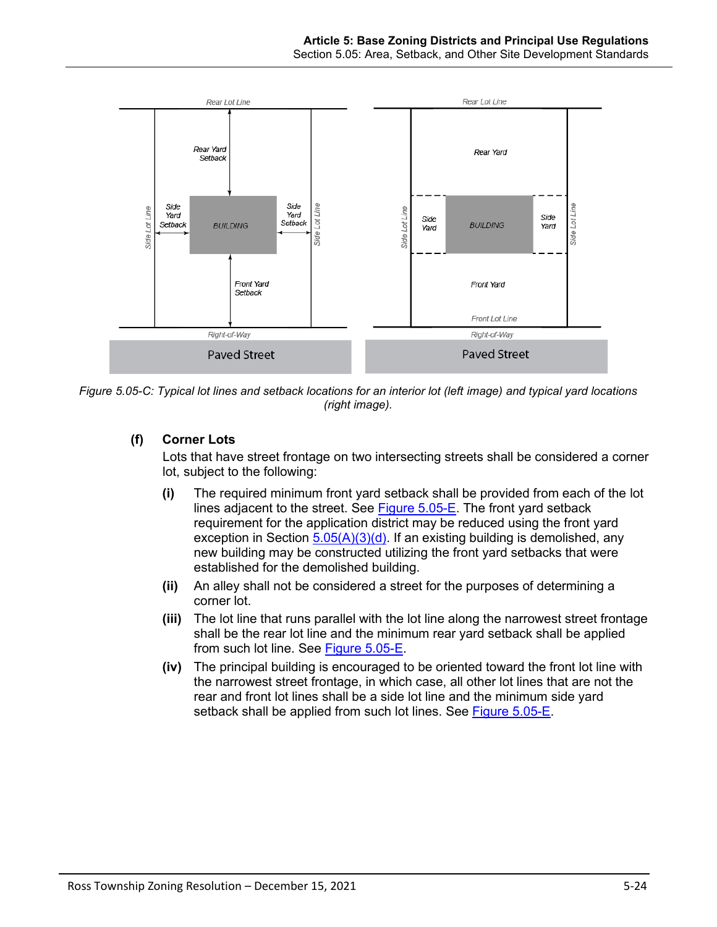

<span id="page-23-0"></span>*Figure 5.05-C: Typical lot lines and setback locations for an interior lot (left image) and typical yard locations (right image).*

# **(f) Corner Lots**

Lots that have street frontage on two intersecting streets shall be considered a corner lot, subject to the following:

- **(i)** The required minimum front yard setback shall be provided from each of the lot lines adjacent to the street. See [Figure 5.05-E.](#page-24-0) The front yard setback requirement for the application district may be reduced using the front yard exception in Section  $5.05(A)(3)(d)$ . If an existing building is demolished, any new building may be constructed utilizing the front yard setbacks that were established for the demolished building.
- **(ii)** An alley shall not be considered a street for the purposes of determining a corner lot.
- **(iii)** The lot line that runs parallel with the lot line along the narrowest street frontage shall be the rear lot line and the minimum rear yard setback shall be applied from such lot line. See [Figure 5.05-E.](#page-24-0)
- **(iv)** The principal building is encouraged to be oriented toward the front lot line with the narrowest street frontage, in which case, all other lot lines that are not the rear and front lot lines shall be a side lot line and the minimum side yard setback shall be applied from such lot lines. See [Figure 5.05-E.](#page-24-0)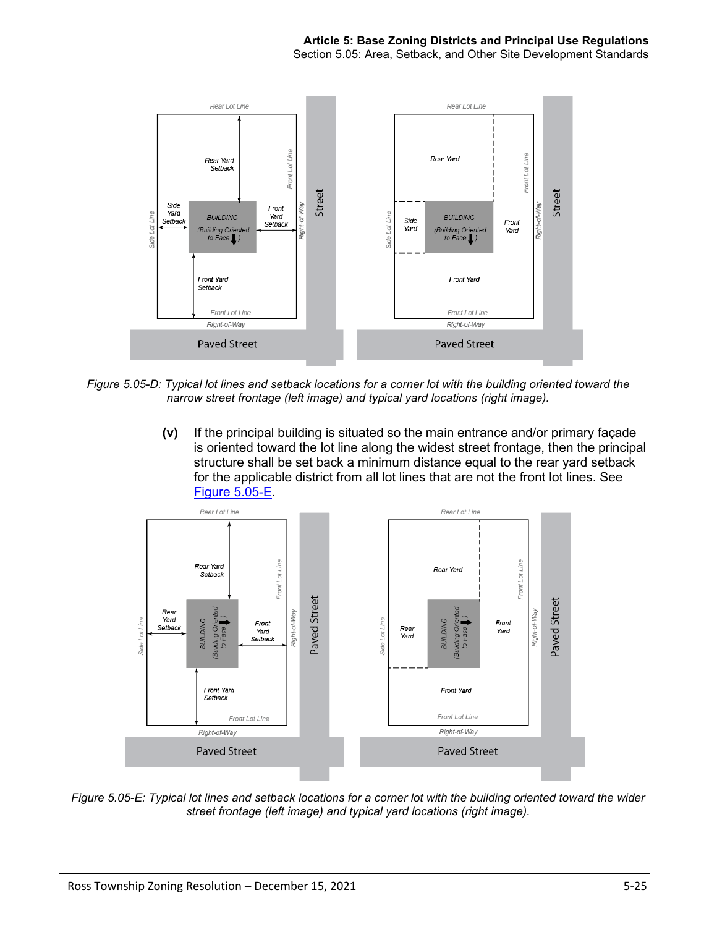

*Figure 5.05-D: Typical lot lines and setback locations for a corner lot with the building oriented toward the narrow street frontage (left image) and typical yard locations (right image).*

**(v)** If the principal building is situated so the main entrance and/or primary façade is oriented toward the lot line along the widest street frontage, then the principal structure shall be set back a minimum distance equal to the rear yard setback for the applicable district from all lot lines that are not the front lot lines. See [Figure 5.05-E.](#page-24-0)



<span id="page-24-0"></span>*Figure 5.05-E: Typical lot lines and setback locations for a corner lot with the building oriented toward the wider street frontage (left image) and typical yard locations (right image).*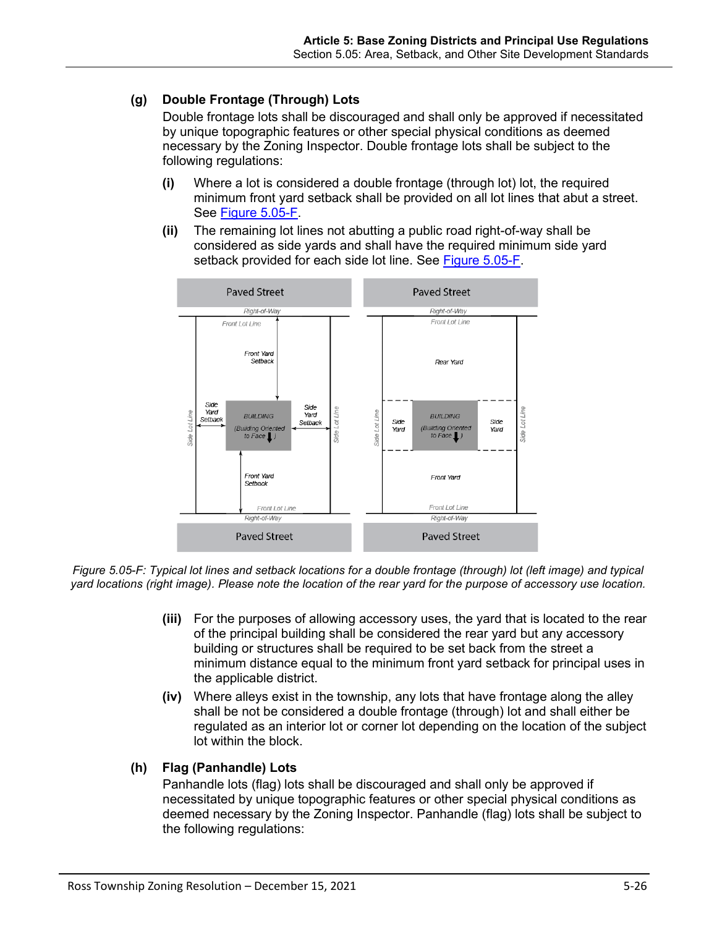# **(g) Double Frontage (Through) Lots**

Double frontage lots shall be discouraged and shall only be approved if necessitated by unique topographic features or other special physical conditions as deemed necessary by the Zoning Inspector. Double frontage lots shall be subject to the following regulations:

- **(i)** Where a lot is considered a double frontage (through lot) lot, the required minimum front yard setback shall be provided on all lot lines that abut a street. See [Figure 5.05-F.](#page-25-0)
- **(ii)** The remaining lot lines not abutting a public road right-of-way shall be considered as side yards and shall have the required minimum side yard setback provided for each side lot line. See [Figure 5.05-F.](#page-25-0)



<span id="page-25-0"></span>*Figure 5.05-F: Typical lot lines and setback locations for a double frontage (through) lot (left image) and typical yard locations (right image). Please note the location of the rear yard for the purpose of accessory use location.*

- **(iii)** For the purposes of allowing accessory uses, the yard that is located to the rear of the principal building shall be considered the rear yard but any accessory building or structures shall be required to be set back from the street a minimum distance equal to the minimum front yard setback for principal uses in the applicable district.
- **(iv)** Where alleys exist in the township, any lots that have frontage along the alley shall be not be considered a double frontage (through) lot and shall either be regulated as an interior lot or corner lot depending on the location of the subject lot within the block.

# **(h) Flag (Panhandle) Lots**

Panhandle lots (flag) lots shall be discouraged and shall only be approved if necessitated by unique topographic features or other special physical conditions as deemed necessary by the Zoning Inspector. Panhandle (flag) lots shall be subject to the following regulations: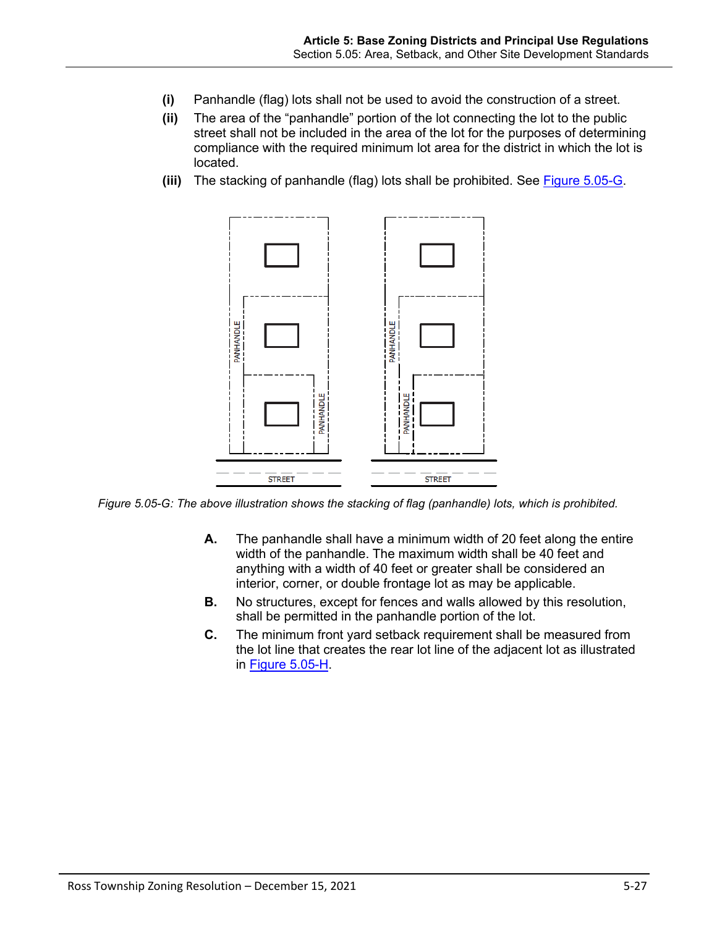- **(i)** Panhandle (flag) lots shall not be used to avoid the construction of a street.
- **(ii)** The area of the "panhandle" portion of the lot connecting the lot to the public street shall not be included in the area of the lot for the purposes of determining compliance with the required minimum lot area for the district in which the lot is located.
- **(iii)** The stacking of panhandle (flag) lots shall be prohibited. See [Figure 5.05-G.](#page-26-0)



<span id="page-26-0"></span>*Figure 5.05-G: The above illustration shows the stacking of flag (panhandle) lots, which is prohibited.*

- **A.** The panhandle shall have a minimum width of 20 feet along the entire width of the panhandle. The maximum width shall be 40 feet and anything with a width of 40 feet or greater shall be considered an interior, corner, or double frontage lot as may be applicable.
- **B.** No structures, except for fences and walls allowed by this resolution, shall be permitted in the panhandle portion of the lot.
- **C.** The minimum front yard setback requirement shall be measured from the lot line that creates the rear lot line of the adjacent lot as illustrated in [Figure 5.05-H.](#page-27-0)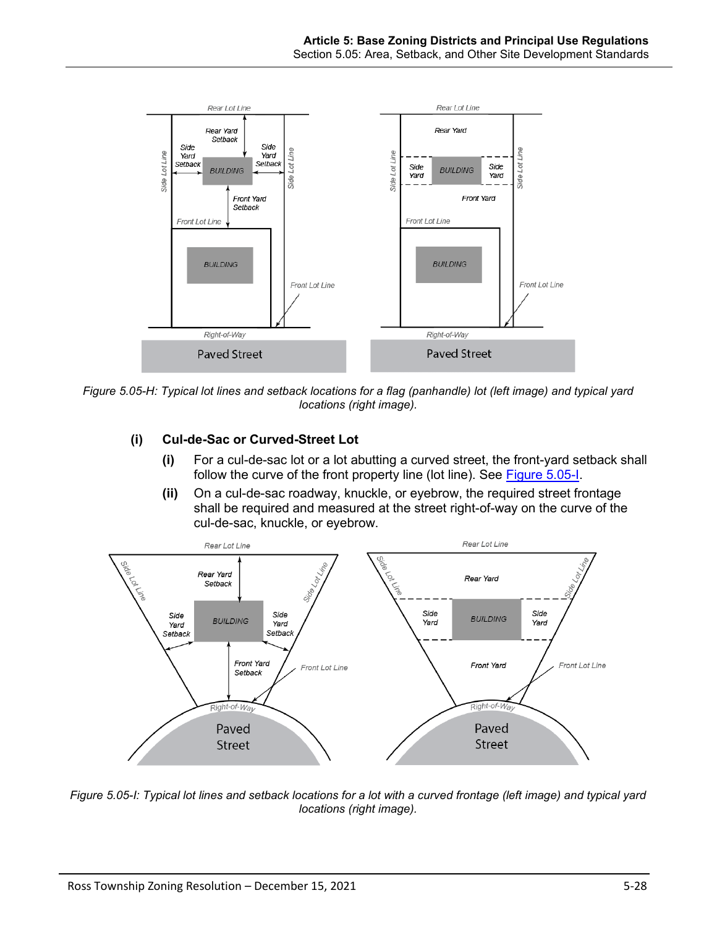

<span id="page-27-0"></span>*Figure 5.05-H: Typical lot lines and setback locations for a flag (panhandle) lot (left image) and typical yard locations (right image).* 

# **(i) Cul-de-Sac or Curved-Street Lot**

- **(i)** For a cul-de-sac lot or a lot abutting a curved street, the front-yard setback shall follow the curve of the front property line (lot line). See [Figure 5.05-I.](#page-27-1)
- **(ii)** On a cul-de-sac roadway, knuckle, or eyebrow, the required street frontage shall be required and measured at the street right-of-way on the curve of the cul-de-sac, knuckle, or eyebrow.



<span id="page-27-1"></span>*Figure 5.05-I: Typical lot lines and setback locations for a lot with a curved frontage (left image) and typical yard locations (right image).*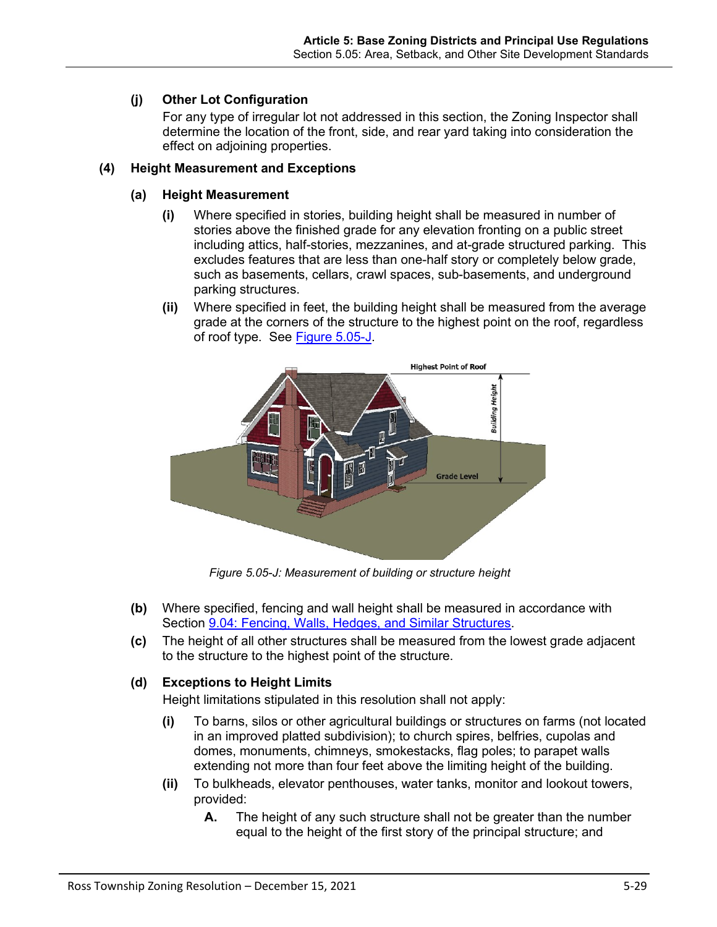# **(j) Other Lot Configuration**

For any type of irregular lot not addressed in this section, the Zoning Inspector shall determine the location of the front, side, and rear yard taking into consideration the effect on adjoining properties.

# **(4) Height Measurement and Exceptions**

# **(a) Height Measurement**

- **(i)** Where specified in stories, building height shall be measured in number of stories above the finished grade for any elevation fronting on a public street including attics, half-stories, mezzanines, and at-grade structured parking. This excludes features that are less than one-half story or completely below grade, such as basements, cellars, crawl spaces, sub-basements, and underground parking structures.
- **(ii)** Where specified in feet, the building height shall be measured from the average grade at the corners of the structure to the highest point on the roof, regardless of roof type. See [Figure 5.05-J.](#page-28-0)



*Figure 5.05-J: Measurement of building or structure height*

- <span id="page-28-0"></span>**(b)** Where specified, fencing and wall height shall be measured in accordance with Section 9.04: Fencing, Walls, Hedges, and Similar Structures.
- **(c)** The height of all other structures shall be measured from the lowest grade adjacent to the structure to the highest point of the structure.

# <span id="page-28-1"></span>**(d) Exceptions to Height Limits**

Height limitations stipulated in this resolution shall not apply:

- **(i)** To barns, silos or other agricultural buildings or structures on farms (not located in an improved platted subdivision); to church spires, belfries, cupolas and domes, monuments, chimneys, smokestacks, flag poles; to parapet walls extending not more than four feet above the limiting height of the building.
- **(ii)** To bulkheads, elevator penthouses, water tanks, monitor and lookout towers, provided:
	- **A.** The height of any such structure shall not be greater than the number equal to the height of the first story of the principal structure; and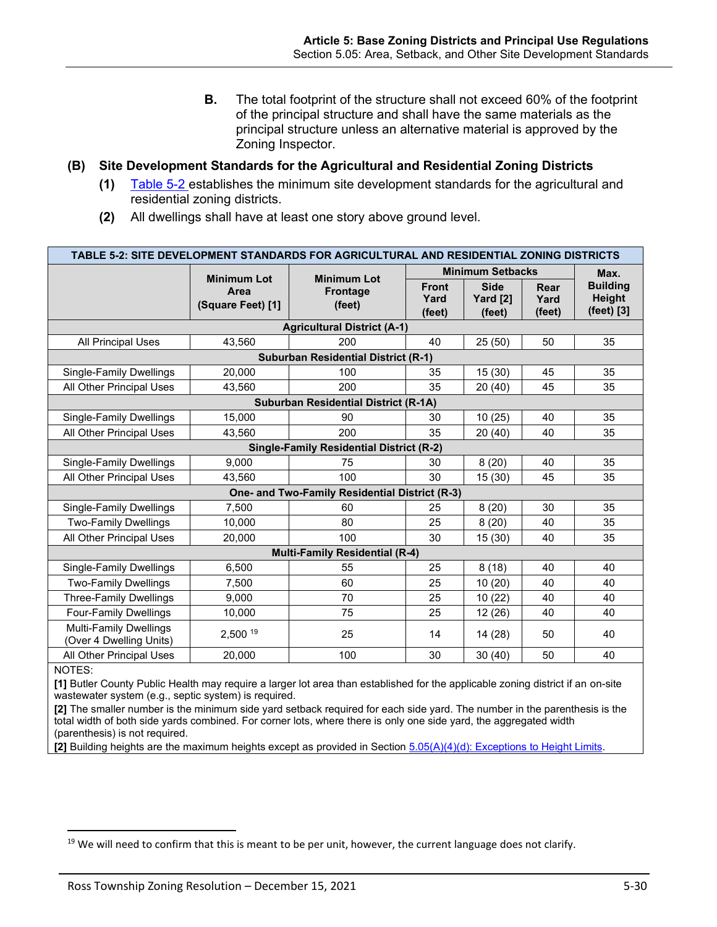**B.** The total footprint of the structure shall not exceed 60% of the footprint of the principal structure and shall have the same materials as the principal structure unless an alternative material is approved by the Zoning Inspector.

### <span id="page-29-0"></span>**(B) Site Development Standards for the Agricultural and Residential Zoning Districts**

- **(1)** [Table 5-2](#page-29-1) establishes the minimum site development standards for the agricultural and residential zoning districts.
- **(2)** All dwellings shall have at least one story above ground level.

<span id="page-29-1"></span>

| TABLE 5-2: SITE DEVELOPMENT STANDARDS FOR AGRICULTURAL AND RESIDENTIAL ZONING DISTRICTS |                                                 |                                                 |                                |                                   |                        |                                         |  |  |  |  |  |
|-----------------------------------------------------------------------------------------|-------------------------------------------------|-------------------------------------------------|--------------------------------|-----------------------------------|------------------------|-----------------------------------------|--|--|--|--|--|
|                                                                                         |                                                 |                                                 | <b>Minimum Setbacks</b>        | Max.                              |                        |                                         |  |  |  |  |  |
|                                                                                         | <b>Minimum Lot</b><br>Area<br>(Square Feet) [1] | <b>Minimum Lot</b><br><b>Frontage</b><br>(feet) | <b>Front</b><br>Yard<br>(feet) | <b>Side</b><br>Yard [2]<br>(feet) | Rear<br>Yard<br>(feet) | <b>Building</b><br>Height<br>(feet) [3] |  |  |  |  |  |
| <b>Agricultural District (A-1)</b>                                                      |                                                 |                                                 |                                |                                   |                        |                                         |  |  |  |  |  |
| <b>All Principal Uses</b>                                                               | 43,560                                          | 200                                             | 40                             | 25(50)                            | 50                     | 35                                      |  |  |  |  |  |
| <b>Suburban Residential District (R-1)</b>                                              |                                                 |                                                 |                                |                                   |                        |                                         |  |  |  |  |  |
| Single-Family Dwellings                                                                 | 20,000                                          | 100                                             | 35                             | 15(30)                            | 45                     | 35                                      |  |  |  |  |  |
| All Other Principal Uses                                                                | 43,560                                          | 200                                             | 35                             | 20(40)                            | 45                     | 35                                      |  |  |  |  |  |
| <b>Suburban Residential District (R-1A)</b>                                             |                                                 |                                                 |                                |                                   |                        |                                         |  |  |  |  |  |
| Single-Family Dwellings                                                                 | 15,000                                          | 90                                              | 30                             | 10(25)                            | 40                     | 35                                      |  |  |  |  |  |
| All Other Principal Uses                                                                | 43,560                                          | 200                                             | 35                             | 20(40)                            | 40                     | 35                                      |  |  |  |  |  |
| <b>Single-Family Residential District (R-2)</b>                                         |                                                 |                                                 |                                |                                   |                        |                                         |  |  |  |  |  |
| <b>Single-Family Dwellings</b>                                                          | 9,000                                           | 75                                              | 30                             | 8(20)                             | 40                     | 35                                      |  |  |  |  |  |
| All Other Principal Uses                                                                | 43.560                                          | 100                                             | 30                             | 15 (30)                           | 45                     | 35                                      |  |  |  |  |  |
| One- and Two-Family Residential District (R-3)                                          |                                                 |                                                 |                                |                                   |                        |                                         |  |  |  |  |  |
| <b>Single-Family Dwellings</b>                                                          | 7,500                                           | 60                                              | 25                             | 8(20)                             | 30                     | 35                                      |  |  |  |  |  |
| <b>Two-Family Dwellings</b>                                                             | 10,000                                          | 80                                              | 25                             | 8(20)                             | 40                     | 35                                      |  |  |  |  |  |
| All Other Principal Uses                                                                | 20,000                                          | 100                                             | 30                             | 15(30)                            | 40                     | 35                                      |  |  |  |  |  |
| <b>Multi-Family Residential (R-4)</b>                                                   |                                                 |                                                 |                                |                                   |                        |                                         |  |  |  |  |  |
| <b>Single-Family Dwellings</b>                                                          | 6,500                                           | 55                                              | 25                             | 8(18)                             | 40                     | 40                                      |  |  |  |  |  |
| <b>Two-Family Dwellings</b>                                                             | 7,500                                           | 60                                              | 25                             | 10(20)                            | 40                     | 40                                      |  |  |  |  |  |
| <b>Three-Family Dwellings</b>                                                           | 9.000                                           | 70                                              | 25                             | 10(22)                            | 40                     | 40                                      |  |  |  |  |  |
| <b>Four-Family Dwellings</b>                                                            | 10,000                                          | 75                                              | 25                             | 12(26)                            | 40                     | 40                                      |  |  |  |  |  |
| <b>Multi-Family Dwellings</b><br>(Over 4 Dwelling Units)                                | 2,500 19                                        | 25                                              | 14                             | 14(28)                            | 50                     | 40                                      |  |  |  |  |  |
| All Other Principal Uses                                                                | 20,000                                          | 100                                             | 30                             | 30(40)                            | 50                     | 40                                      |  |  |  |  |  |

NOTES:

**[1]** Butler County Public Health may require a larger lot area than established for the applicable zoning district if an on-site wastewater system (e.g., septic system) is required.

**[2]** The smaller number is the minimum side yard setback required for each side yard. The number in the parenthesis is the total width of both side yards combined. For corner lots, where there is only one side yard, the aggregated width (parenthesis) is not required.

**[2]** Building heights are the maximum heights except as provided in Section [5.05\(A\)\(4\)\(d\): Exceptions to Height Limits.](#page-28-1)

 $19$  We will need to confirm that this is meant to be per unit, however, the current language does not clarify.